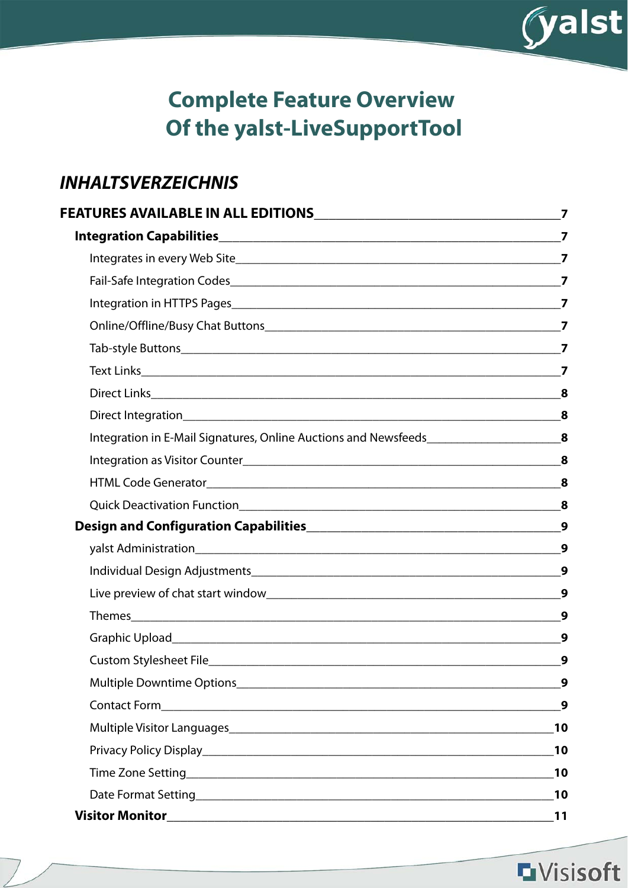

# **Complete Feature Overview Of the yalst-LiveSupportTool**

## **INHALTSVERZEICHNIS**

| Integration in E-Mail Signatures, Online Auctions and Newsfeeds____________________________8                                                                                                                                         |                  |
|--------------------------------------------------------------------------------------------------------------------------------------------------------------------------------------------------------------------------------------|------------------|
|                                                                                                                                                                                                                                      | 8                |
|                                                                                                                                                                                                                                      | 8                |
|                                                                                                                                                                                                                                      |                  |
|                                                                                                                                                                                                                                      |                  |
|                                                                                                                                                                                                                                      | 9                |
|                                                                                                                                                                                                                                      | $\boldsymbol{9}$ |
|                                                                                                                                                                                                                                      | 9                |
|                                                                                                                                                                                                                                      | 9                |
|                                                                                                                                                                                                                                      | 9                |
|                                                                                                                                                                                                                                      | 9                |
|                                                                                                                                                                                                                                      | 9                |
|                                                                                                                                                                                                                                      | $\boldsymbol{9}$ |
|                                                                                                                                                                                                                                      | 10               |
|                                                                                                                                                                                                                                      | 10               |
| Time Zone Setting <b>Executive Contract Contract Contract Contract Contract Contract Contract Contract Contract Contract Contract Contract Contract Contract Contract Contract Contract Contract Contract Contract Contract Cont</b> | 10               |
|                                                                                                                                                                                                                                      | 10               |
|                                                                                                                                                                                                                                      |                  |

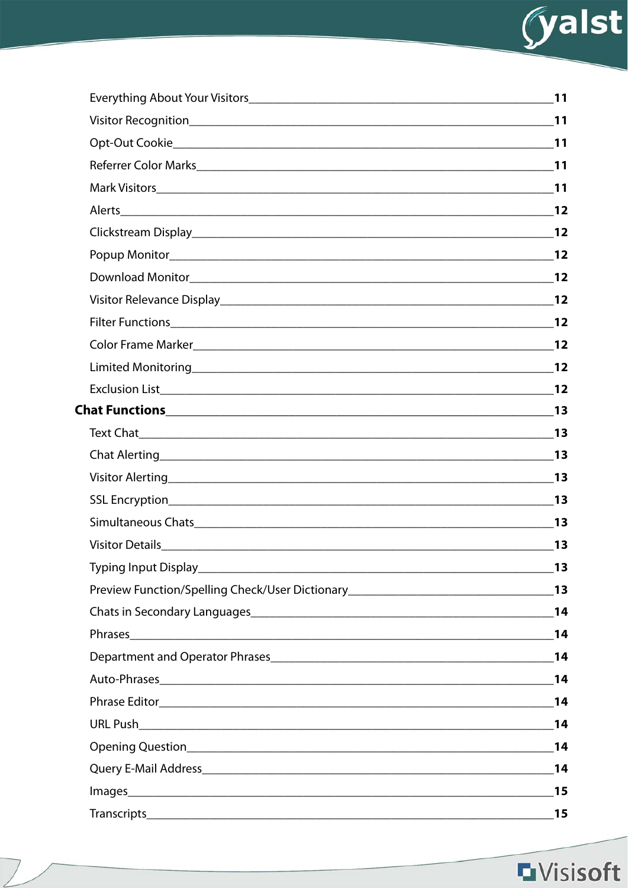

|                                                                                     | 11                          |
|-------------------------------------------------------------------------------------|-----------------------------|
|                                                                                     |                             |
|                                                                                     |                             |
| Referrer Color Marks 2011                                                           |                             |
|                                                                                     |                             |
|                                                                                     |                             |
|                                                                                     |                             |
|                                                                                     |                             |
|                                                                                     |                             |
|                                                                                     |                             |
|                                                                                     |                             |
|                                                                                     |                             |
|                                                                                     |                             |
|                                                                                     |                             |
|                                                                                     |                             |
|                                                                                     |                             |
|                                                                                     |                             |
|                                                                                     | $\overline{\phantom{a}}$ 13 |
|                                                                                     |                             |
|                                                                                     |                             |
|                                                                                     | 13                          |
|                                                                                     | 13                          |
| Preview Function/Spelling Check/User Dictionary__________________________________13 |                             |
|                                                                                     |                             |
|                                                                                     |                             |
|                                                                                     |                             |
|                                                                                     |                             |
|                                                                                     | 14                          |
|                                                                                     |                             |
|                                                                                     |                             |
|                                                                                     |                             |
|                                                                                     | 15                          |
|                                                                                     |                             |
|                                                                                     |                             |

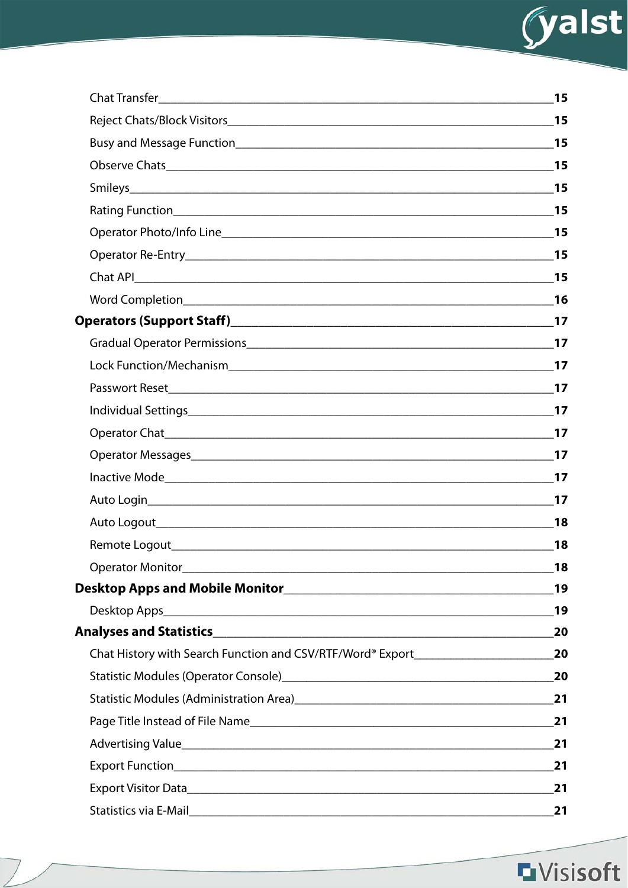

| 18 |
|----|
| 18 |
| 19 |
|    |
| 20 |
|    |
| 20 |
|    |
|    |
|    |
|    |
| 21 |
| 21 |

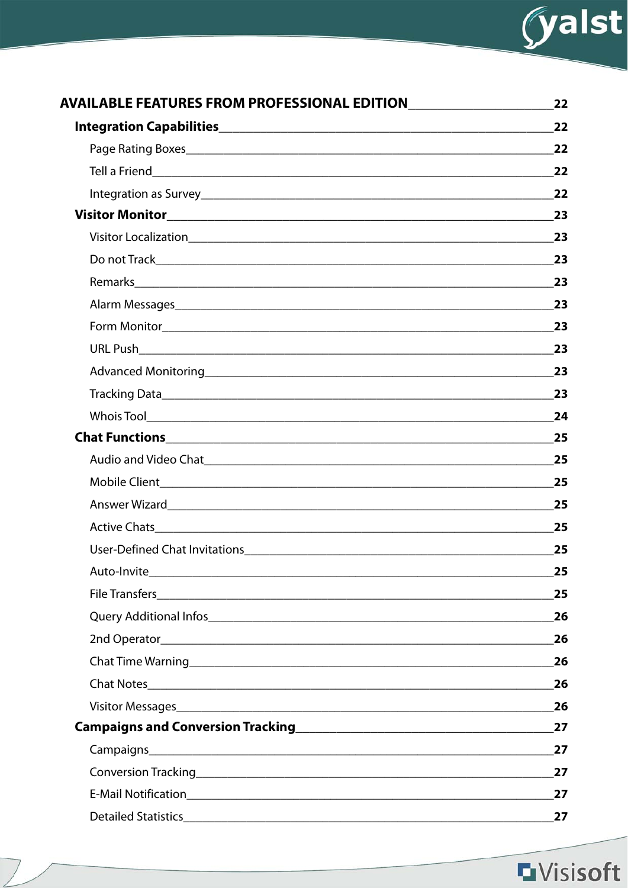

| AVAILABLE FEATURES FROM PROFESSIONAL EDITIONNAL EDITIONAL EDITION                                             | 22 |
|---------------------------------------------------------------------------------------------------------------|----|
|                                                                                                               | 22 |
|                                                                                                               | 22 |
|                                                                                                               | 22 |
|                                                                                                               |    |
|                                                                                                               | 23 |
|                                                                                                               |    |
|                                                                                                               | 23 |
|                                                                                                               |    |
| Alarm Messages experience and the contract of the contract of the contract of the contract of the contract of | 23 |
|                                                                                                               |    |
|                                                                                                               | 23 |
|                                                                                                               |    |
|                                                                                                               | 23 |
|                                                                                                               |    |
|                                                                                                               | 25 |
|                                                                                                               |    |
|                                                                                                               | 25 |
|                                                                                                               | 25 |
|                                                                                                               | 25 |
|                                                                                                               | 25 |
|                                                                                                               |    |
|                                                                                                               | 25 |
|                                                                                                               | 26 |
|                                                                                                               | 26 |
|                                                                                                               | 26 |
|                                                                                                               | 26 |
|                                                                                                               | 26 |
|                                                                                                               | 27 |
|                                                                                                               | 27 |
|                                                                                                               | 27 |
|                                                                                                               | 27 |
|                                                                                                               | 27 |

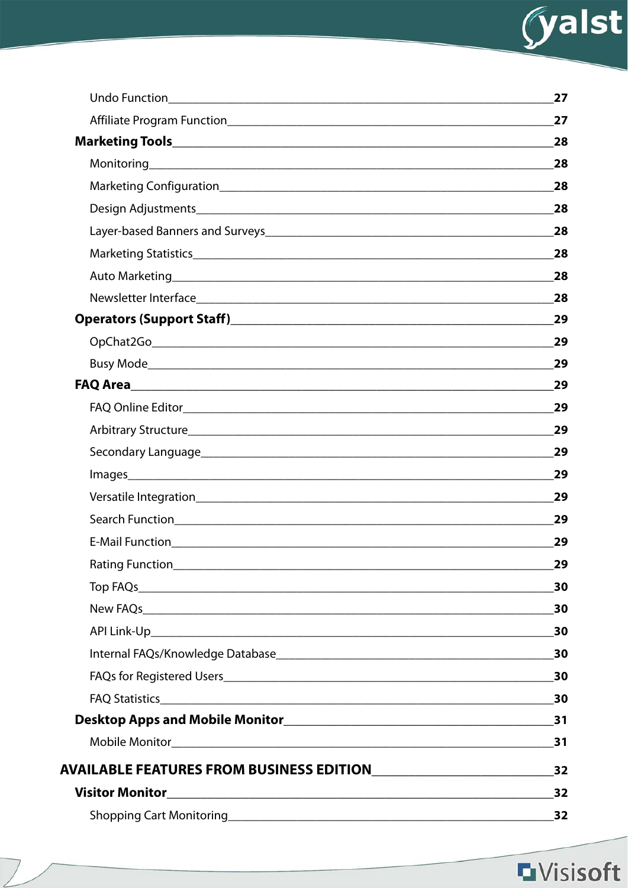

|                                                                    | 27        |
|--------------------------------------------------------------------|-----------|
|                                                                    | 27        |
|                                                                    | 28        |
|                                                                    | 28        |
|                                                                    | 28        |
|                                                                    | 28        |
|                                                                    | 28        |
|                                                                    | 28        |
| Auto Marketing <b>Auto Marketing Auto Marketing Auto Marketing</b> | 28        |
|                                                                    | 28        |
|                                                                    | 29        |
|                                                                    | 29        |
|                                                                    | 29        |
|                                                                    | 29        |
|                                                                    | 29        |
|                                                                    | 29        |
|                                                                    | 29        |
|                                                                    | 29        |
|                                                                    | 29        |
|                                                                    | 29        |
|                                                                    | 29        |
|                                                                    | 29        |
|                                                                    | 30        |
|                                                                    |           |
|                                                                    |           |
|                                                                    |           |
|                                                                    |           |
|                                                                    | $\sim$ 30 |
|                                                                    |           |
|                                                                    | 31        |
|                                                                    | 32        |
| <b>Visitor Monitor</b>                                             | 32        |
|                                                                    | 32        |

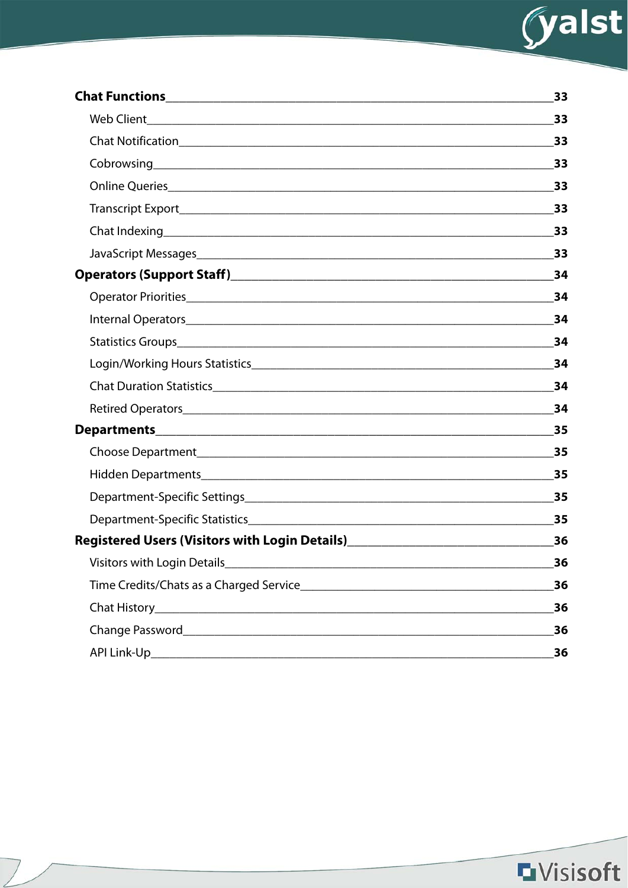

|                                                                                  | 33    |
|----------------------------------------------------------------------------------|-------|
|                                                                                  | 33    |
|                                                                                  | 33    |
|                                                                                  | 33    |
|                                                                                  | 33    |
|                                                                                  |       |
|                                                                                  | 33    |
|                                                                                  | 33    |
|                                                                                  | 34    |
|                                                                                  | 34    |
|                                                                                  | 34    |
|                                                                                  | 34    |
|                                                                                  | 34    |
|                                                                                  | 34    |
|                                                                                  | 34    |
|                                                                                  | 35    |
|                                                                                  | 35    |
|                                                                                  | 35    |
|                                                                                  | 35    |
|                                                                                  | 35    |
| Registered Users (Visitors with Login Details)__________________________________ | 36    |
|                                                                                  | $-36$ |
|                                                                                  | 36    |
|                                                                                  | 36    |
|                                                                                  | 36    |
|                                                                                  | 36    |

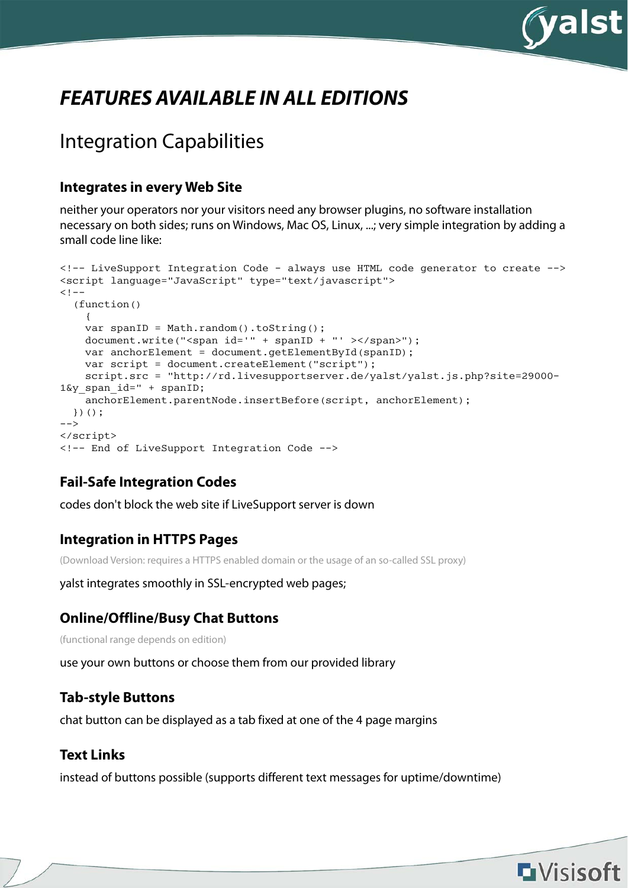

# **FEATURES AVAILABLE IN ALL EDITIONS**

## Integration Capabilities

#### **Integrates in every Web Site**

neither your operators nor your visitors need any browser plugins, no software installation necessary on both sides; runs on Windows, Mac OS, Linux, ...; very simple integration by adding a small code line like:

```
<!-- LiveSupport Integration Code - always use HTML code generator to create -->
<script language="JavaScript" type="text/javascript">
<! - (function()
     {
   var spanID = Math.random().toString();
   document.write("<span id='" + spanID + "' ></span>");
   var anchorElement = document.getElementById(spanID);
    var script = document.createElement("script");
    script.src = "http://rd.livesupportserver.de/yalst/yalst.js.php?site=29000-
1\&y span id=" + spanID;
   anchorElement.parentNode.insertBefore(script, anchorElement);
  })();
--&></script>
<!-- End of LiveSupport Integration Code -->
```
### **Fail-Safe Integration Codes**

codes don't block the web site if LiveSupport server is down

#### **Integration in HTTPS Pages**

(Download Version: requires a HTTPS enabled domain or the usage of an so-called SSL proxy)

yalst integrates smoothly in SSL-encrypted web pages;

#### **Online/Offline/Busy Chat Buttons**

(functional range depends on edition)

use your own buttons or choose them from our provided library

#### **Tab-style Buttons**

chat button can be displayed as a tab fixed at one of the 4 page margins

#### **Text Links**

instead of buttons possible (supports different text messages for uptime/downtime)

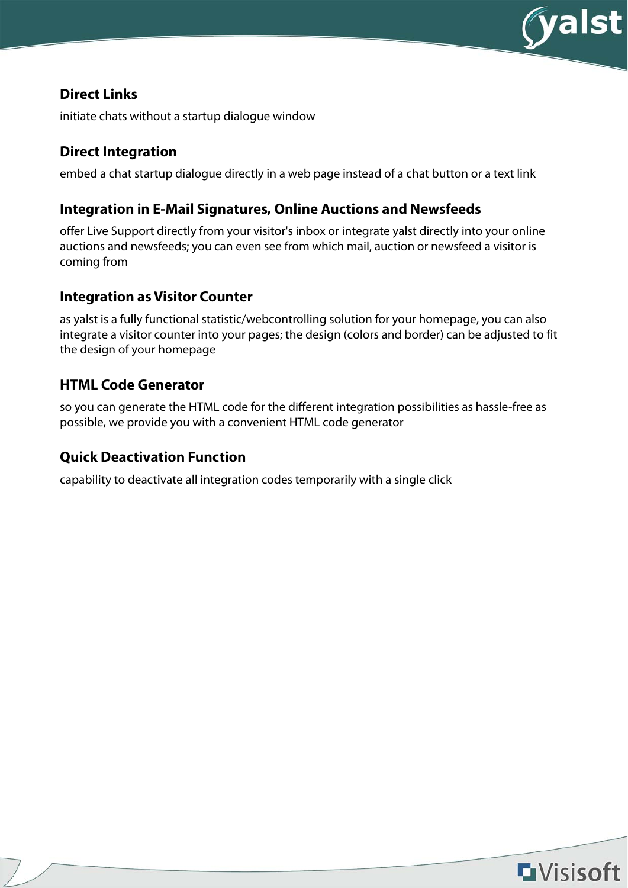

#### **Direct Links**

initiate chats without a startup dialogue window

#### **Direct Integration**

embed a chat startup dialogue directly in a web page instead of a chat button or a text link

#### **Integration in E-Mail Signatures, Online Auctions and Newsfeeds**

offer Live Support directly from your visitor's inbox or integrate yalst directly into your online auctions and newsfeeds; you can even see from which mail, auction or newsfeed a visitor is coming from

#### **Integration as Visitor Counter**

as yalst is a fully functional statistic/webcontrolling solution for your homepage, you can also integrate a visitor counter into your pages; the design (colors and border) can be adjusted to fit the design of your homepage

#### **HTML Code Generator**

so you can generate the HTML code for the different integration possibilities as hassle-free as possible, we provide you with a convenient HTML code generator

#### **Quick Deactivation Function**

capability to deactivate all integration codes temporarily with a single click

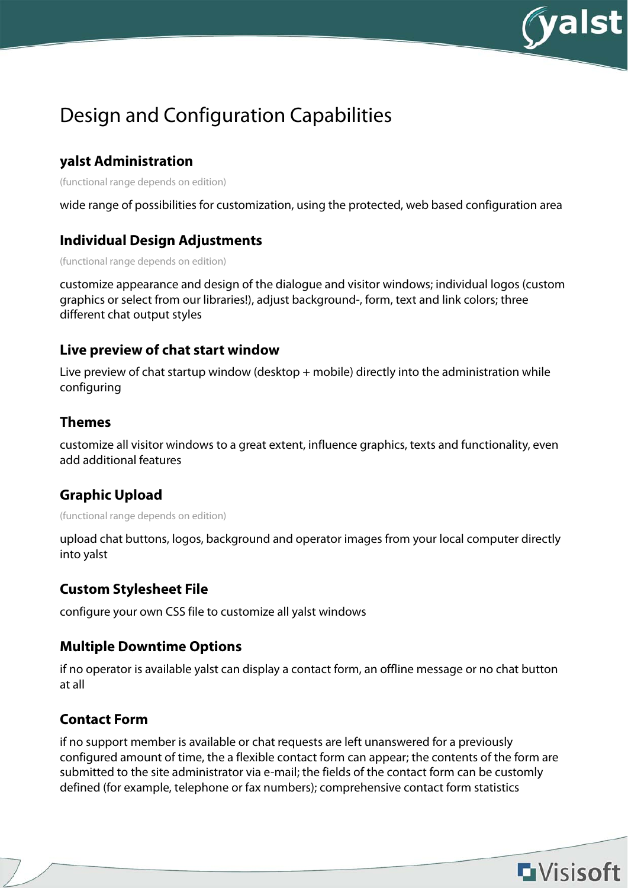

## Design and Configuration Capabilities

### **yalst Administration**

(functional range depends on edition)

wide range of possibilities for customization, using the protected, web based configuration area

#### **Individual Design Adjustments**

(functional range depends on edition)

customize appearance and design of the dialogue and visitor windows; individual logos (custom graphics or select from our libraries!), adjust background-, form, text and link colors; three different chat output styles

#### **Live preview of chat start window**

Live preview of chat startup window (desktop + mobile) directly into the administration while configuring

#### **Themes**

customize all visitor windows to a great extent, influence graphics, texts and functionality, even add additional features

### **Graphic Upload**

(functional range depends on edition)

upload chat buttons, logos, background and operator images from your local computer directly into yalst

#### **Custom Stylesheet File**

configure your own CSS file to customize all yalst windows

#### **Multiple Downtime Options**

if no operator is available yalst can display a contact form, an offline message or no chat button at all

### **Contact Form**

if no support member is available or chat requests are left unanswered for a previously configured amount of time, the a flexible contact form can appear; the contents of the form are submitted to the site administrator via e-mail; the fields of the contact form can be customly defined (for example, telephone or fax numbers); comprehensive contact form statistics

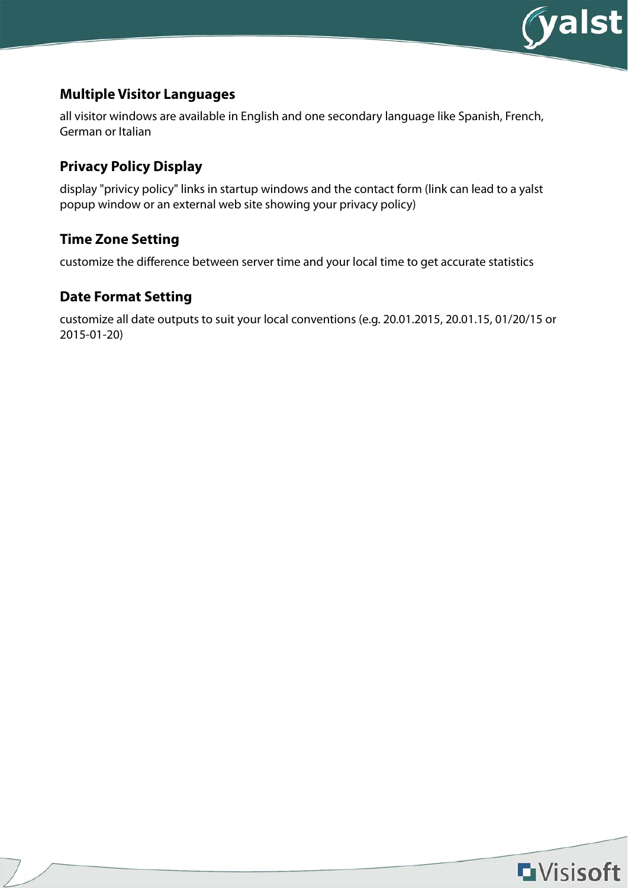

### **Multiple Visitor Languages**

all visitor windows are available in English and one secondary language like Spanish, French, German or Italian

### **Privacy Policy Display**

display "privicy policy" links in startup windows and the contact form (link can lead to a yalst popup window or an external web site showing your privacy policy)

### **Time Zone Setting**

customize the difference between server time and your local time to get accurate statistics

#### **Date Format Setting**

customize all date outputs to suit your local conventions (e.g. 20.01.2015, 20.01.15, 01/20/15 or 2015-01-20)

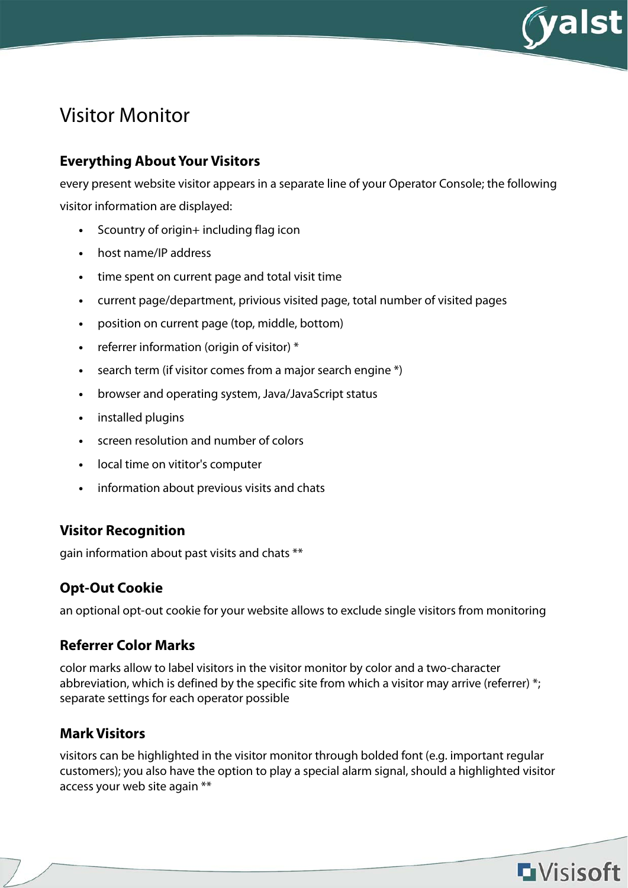

## Visitor Monitor

### **Everything About Your Visitors**

every present website visitor appears in a separate line of your Operator Console; the following visitor information are displayed:

- **•** Scountry of origin+ including flag icon
- **•** host name/IP address
- **•** time spent on current page and total visit time
- **•** current page/department, privious visited page, total number of visited pages
- **•** position on current page (top, middle, bottom)
- **•** referrer information (origin of visitor) \*
- **•** search term (if visitor comes from a major search engine \*)
- **•** browser and operating system, Java/JavaScript status
- **•** installed plugins
- **•** screen resolution and number of colors
- **•** local time on vititor's computer
- **•** information about previous visits and chats

### **Visitor Recognition**

gain information about past visits and chats \*\*

### **Opt-Out Cookie**

an optional opt-out cookie for your website allows to exclude single visitors from monitoring

#### **Referrer Color Marks**

color marks allow to label visitors in the visitor monitor by color and a two-character abbreviation, which is defined by the specific site from which a visitor may arrive (referrer) \*; separate settings for each operator possible

### **Mark Visitors**

visitors can be highlighted in the visitor monitor through bolded font (e.g. important regular customers); you also have the option to play a special alarm signal, should a highlighted visitor access your web site again \*\*

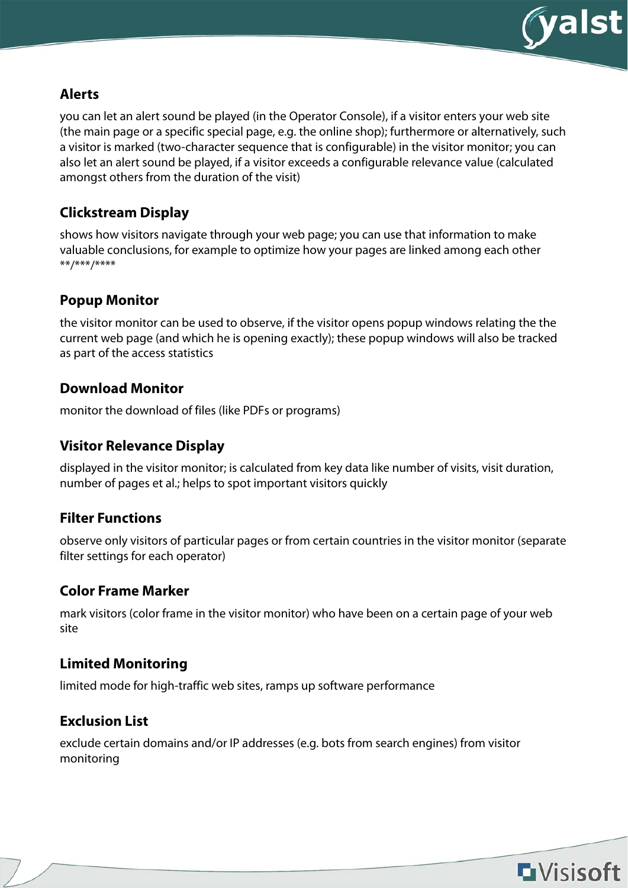

#### **Alerts**

you can let an alert sound be played (in the Operator Console), if a visitor enters your web site (the main page or a specific special page, e.g. the online shop); furthermore or alternatively, such a visitor is marked (two-character sequence that is configurable) in the visitor monitor; you can also let an alert sound be played, if a visitor exceeds a configurable relevance value (calculated amongst others from the duration of the visit)

### **Clickstream Display**

shows how visitors navigate through your web page; you can use that information to make valuable conclusions, for example to optimize how your pages are linked among each other \*\*/\*\*\*/\*\*\*\*

### **Popup Monitor**

the visitor monitor can be used to observe, if the visitor opens popup windows relating the the current web page (and which he is opening exactly); these popup windows will also be tracked as part of the access statistics

#### **Download Monitor**

monitor the download of files (like PDFs or programs)

### **Visitor Relevance Display**

displayed in the visitor monitor; is calculated from key data like number of visits, visit duration, number of pages et al.; helps to spot important visitors quickly

#### **Filter Functions**

observe only visitors of particular pages or from certain countries in the visitor monitor (separate filter settings for each operator)

### **Color Frame Marker**

mark visitors (color frame in the visitor monitor) who have been on a certain page of your web site

#### **Limited Monitoring**

limited mode for high-traffic web sites, ramps up software performance

### **Exclusion List**

exclude certain domains and/or IP addresses (e.g. bots from search engines) from visitor monitoring

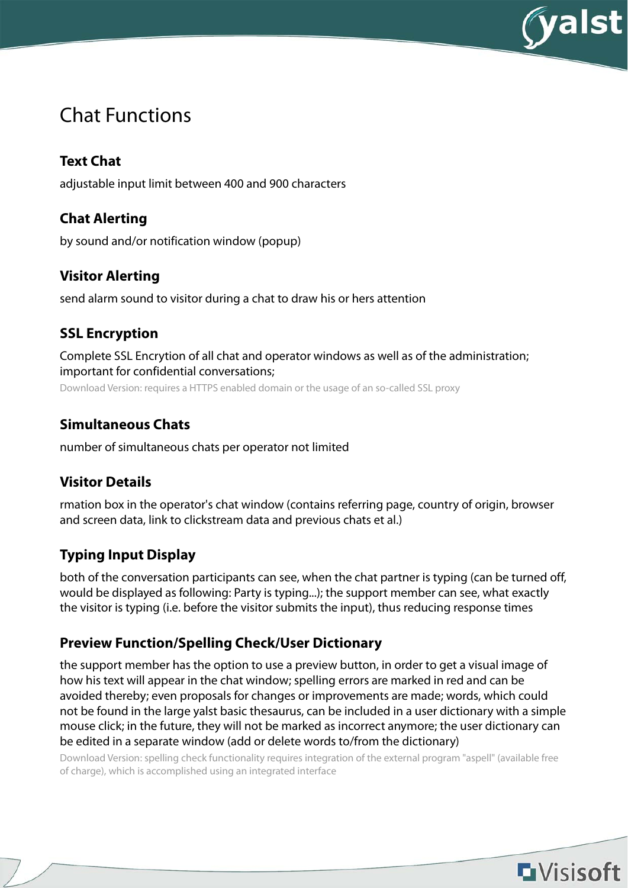

## Chat Functions

## **Text Chat**

adjustable input limit between 400 and 900 characters

### **Chat Alerting**

by sound and/or notification window (popup)

### **Visitor Alerting**

send alarm sound to visitor during a chat to draw his or hers attention

### **SSL Encryption**

Complete SSL Encrytion of all chat and operator windows as well as of the administration; important for confidential conversations; Download Version: requires a HTTPS enabled domain or the usage of an so-called SSL proxy

### **Simultaneous Chats**

number of simultaneous chats per operator not limited

### **Visitor Details**

rmation box in the operator's chat window (contains referring page, country of origin, browser and screen data, link to clickstream data and previous chats et al.)

### **Typing Input Display**

both of the conversation participants can see, when the chat partner is typing (can be turned off, would be displayed as following: Party is typing...); the support member can see, what exactly the visitor is typing (i.e. before the visitor submits the input), thus reducing response times

### **Preview Function/Spelling Check/User Dictionary**

the support member has the option to use a preview button, in order to get a visual image of how his text will appear in the chat window; spelling errors are marked in red and can be avoided thereby; even proposals for changes or improvements are made; words, which could not be found in the large yalst basic thesaurus, can be included in a user dictionary with a simple mouse click; in the future, they will not be marked as incorrect anymore; the user dictionary can be edited in a separate window (add or delete words to/from the dictionary)

Download Version: spelling check functionality requires integration of the external program "aspell" (available free of charge), which is accomplished using an integrated interface

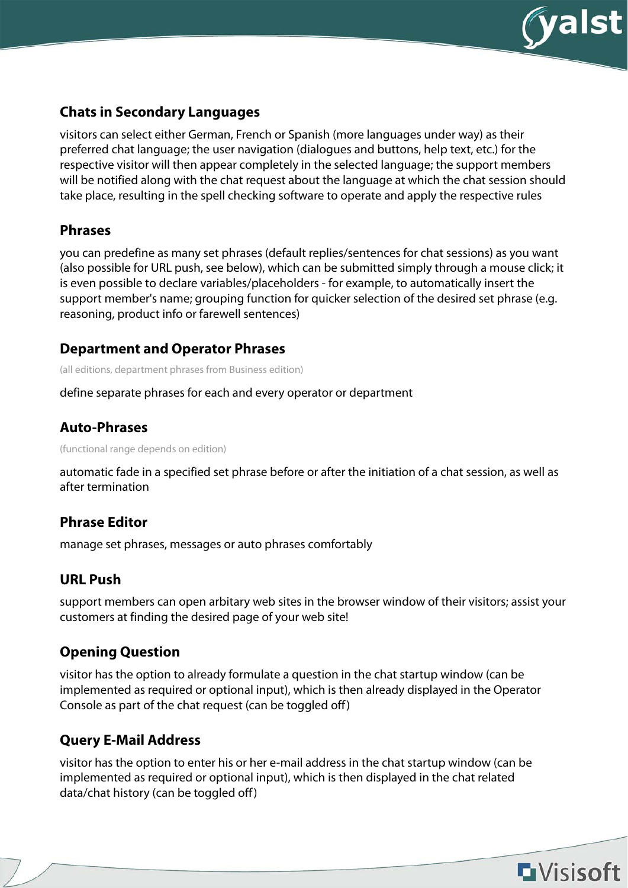

#### **Chats in Secondary Languages**

visitors can select either German, French or Spanish (more languages under way) as their preferred chat language; the user navigation (dialogues and buttons, help text, etc.) for the respective visitor will then appear completely in the selected language; the support members will be notified along with the chat request about the language at which the chat session should take place, resulting in the spell checking software to operate and apply the respective rules

#### **Phrases**

you can predefine as many set phrases (default replies/sentences for chat sessions) as you want (also possible for URL push, see below), which can be submitted simply through a mouse click; it is even possible to declare variables/placeholders - for example, to automatically insert the support member's name; grouping function for quicker selection of the desired set phrase (e.g. reasoning, product info or farewell sentences)

#### **Department and Operator Phrases**

(all editions, department phrases from Business edition)

define separate phrases for each and every operator or department

#### **Auto-Phrases**

(functional range depends on edition)

automatic fade in a specified set phrase before or after the initiation of a chat session, as well as after termination

### **Phrase Editor**

manage set phrases, messages or auto phrases comfortably

### **URL Push**

support members can open arbitary web sites in the browser window of their visitors; assist your customers at finding the desired page of your web site!

### **Opening Question**

visitor has the option to already formulate a question in the chat startup window (can be implemented as required or optional input), which is then already displayed in the Operator Console as part of the chat request (can be toggled off)

### **Query E-Mail Address**

visitor has the option to enter his or her e-mail address in the chat startup window (can be implemented as required or optional input), which is then displayed in the chat related data/chat history (can be toggled off)

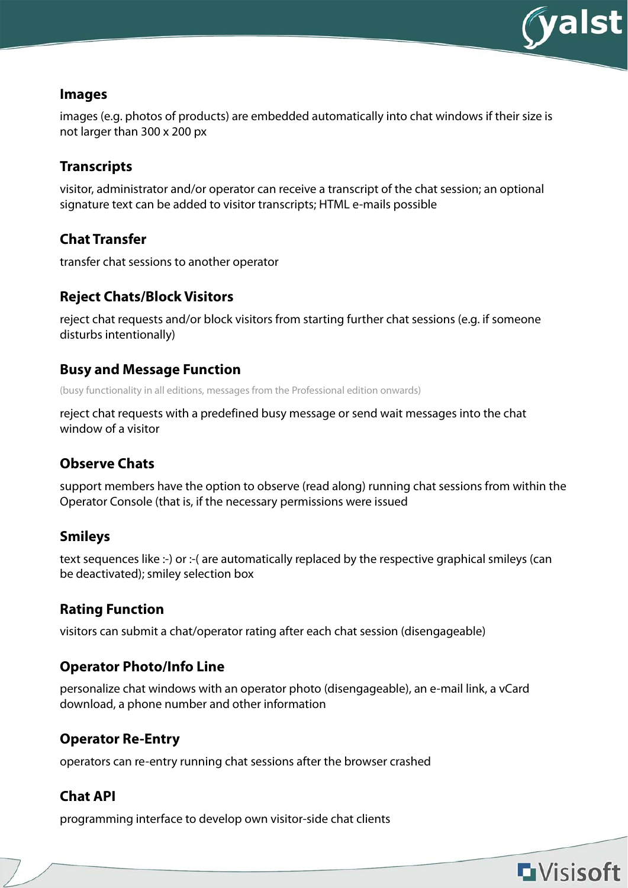

**L**Visisoft

#### **Images**

images (e.g. photos of products) are embedded automatically into chat windows if their size is not larger than 300 x 200 px

### **Transcripts**

visitor, administrator and/or operator can receive a transcript of the chat session; an optional signature text can be added to visitor transcripts; HTML e-mails possible

### **Chat Transfer**

transfer chat sessions to another operator

### **Reject Chats/Block Visitors**

reject chat requests and/or block visitors from starting further chat sessions (e.g. if someone disturbs intentionally)

#### **Busy and Message Function**

(busy functionality in all editions, messages from the Professional edition onwards)

reject chat requests with a predefined busy message or send wait messages into the chat window of a visitor

#### **Observe Chats**

support members have the option to observe (read along) running chat sessions from within the Operator Console (that is, if the necessary permissions were issued

### **Smileys**

text sequences like :-) or :-( are automatically replaced by the respective graphical smileys (can be deactivated); smiley selection box

### **Rating Function**

visitors can submit a chat/operator rating after each chat session (disengageable)

### **Operator Photo/Info Line**

personalize chat windows with an operator photo (disengageable), an e-mail link, a vCard download, a phone number and other information

### **Operator Re-Entry**

operators can re-entry running chat sessions after the browser crashed

### **Chat API**

programming interface to develop own visitor-side chat clients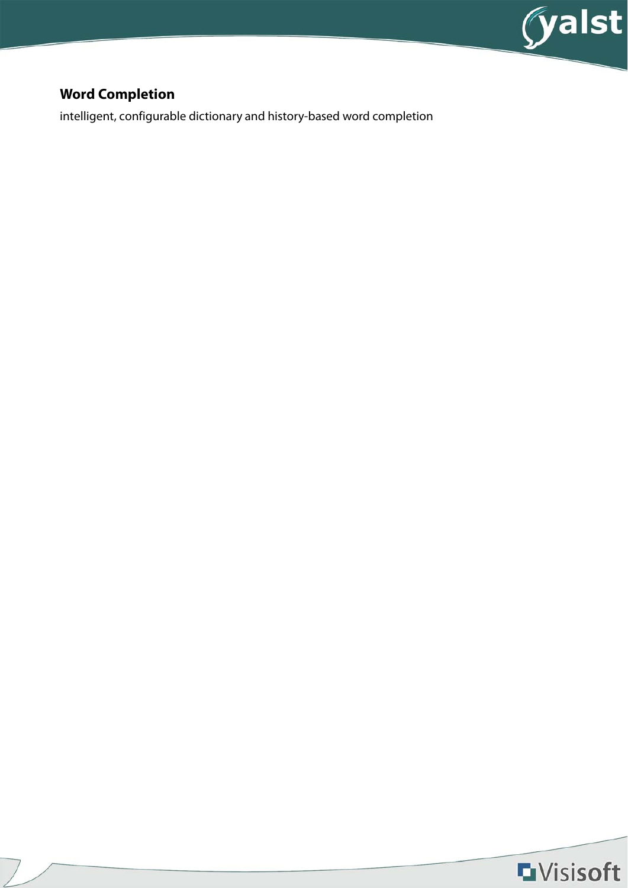

## **Word Completion**

intelligent, configurable dictionary and history-based word completion

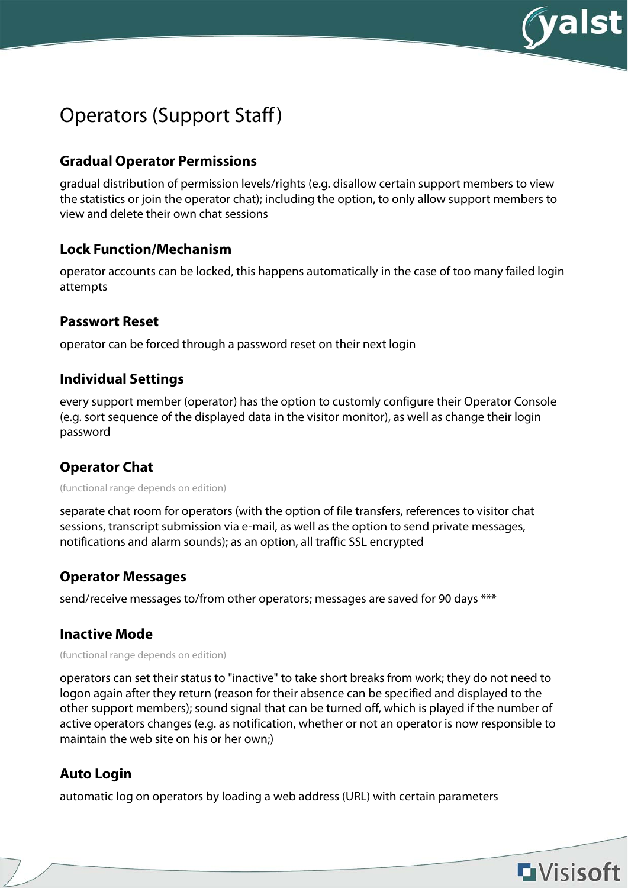

## Operators (Support Staff)

### **Gradual Operator Permissions**

gradual distribution of permission levels/rights (e.g. disallow certain support members to view the statistics or join the operator chat); including the option, to only allow support members to view and delete their own chat sessions

#### **Lock Function/Mechanism**

operator accounts can be locked, this happens automatically in the case of too many failed login attempts

#### **Passwort Reset**

operator can be forced through a password reset on their next login

#### **Individual Settings**

every support member (operator) has the option to customly configure their Operator Console (e.g. sort sequence of the displayed data in the visitor monitor), as well as change their login password

### **Operator Chat**

(functional range depends on edition)

separate chat room for operators (with the option of file transfers, references to visitor chat sessions, transcript submission via e-mail, as well as the option to send private messages, notifications and alarm sounds); as an option, all traffic SSL encrypted

#### **Operator Messages**

send/receive messages to/from other operators; messages are saved for 90 days \*\*\*

#### **Inactive Mode**

(functional range depends on edition)

operators can set their status to "inactive" to take short breaks from work; they do not need to logon again after they return (reason for their absence can be specified and displayed to the other support members); sound signal that can be turned off, which is played if the number of active operators changes (e.g. as notification, whether or not an operator is now responsible to maintain the web site on his or her own;)

### **Auto Login**

automatic log on operators by loading a web address (URL) with certain parameters

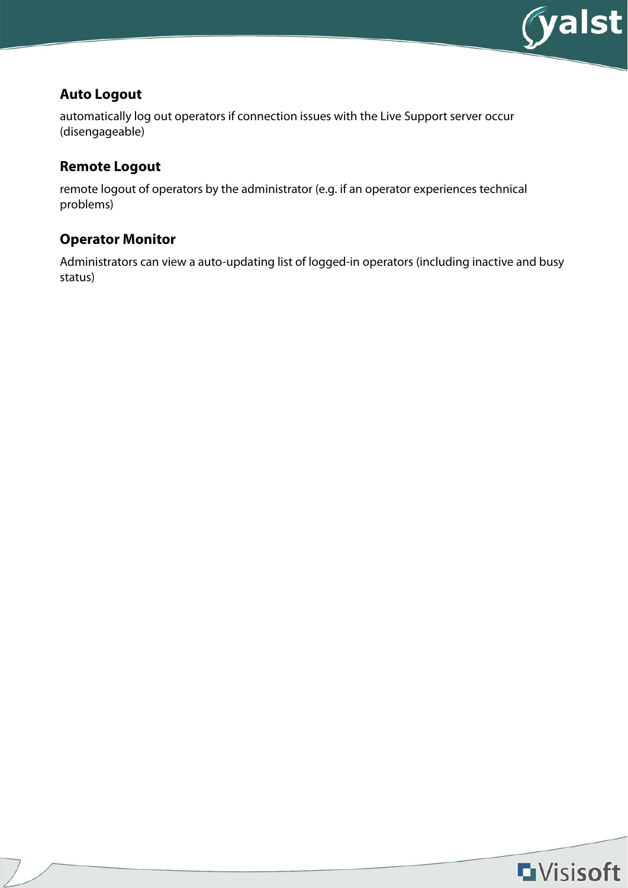

#### **Auto Logout**

automatically log out operators if connection issues with the Live Support server occur (disengageable)

#### **Remote Logout**

remote logout of operators by the administrator (e.g. if an operator experiences technical problems)

## **Operator Monitor**

Administrators can view a auto-updating list of logged-in operators (including inactive and busy status)

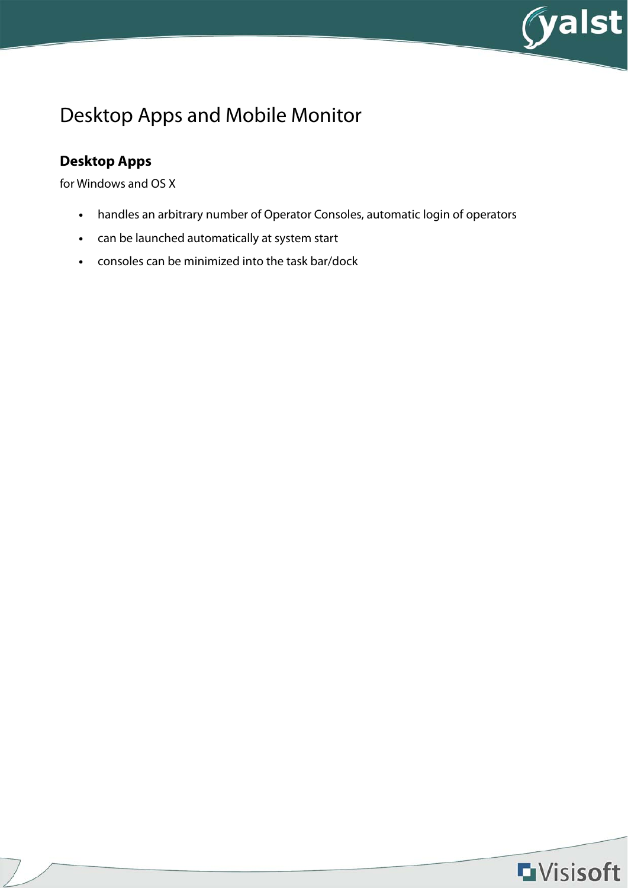

# Desktop Apps and Mobile Monitor

## **Desktop Apps**

for Windows and OS X

- **•** handles an arbitrary number of Operator Consoles, automatic login of operators
- **•** can be launched automatically at system start
- **•** consoles can be minimized into the task bar/dock

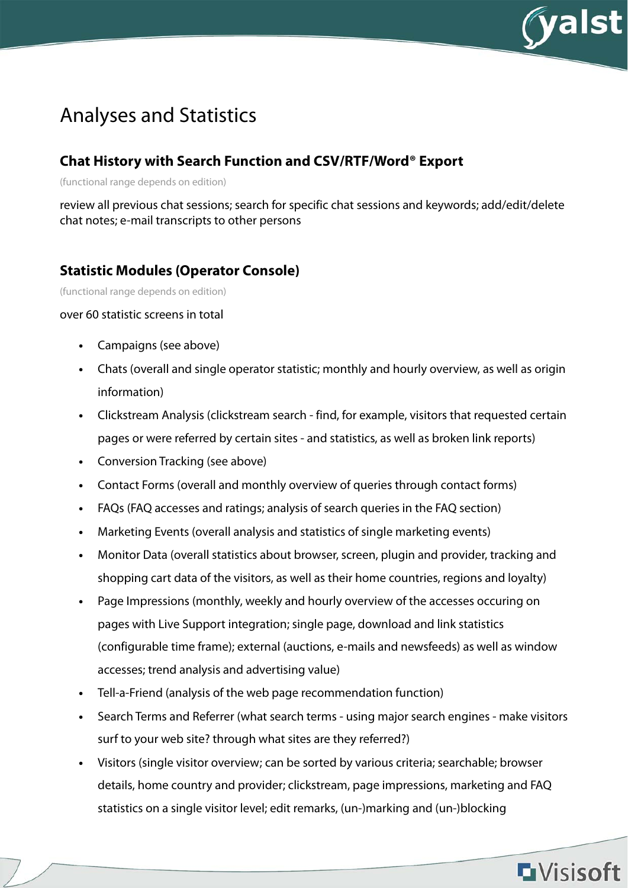

## Analyses and Statistics

### **Chat History with Search Function and CSV/RTF/Word® Export**

(functional range depends on edition)

review all previous chat sessions; search for specific chat sessions and keywords; add/edit/delete chat notes; e-mail transcripts to other persons

#### **Statistic Modules (Operator Console)**

(functional range depends on edition)

#### over 60 statistic screens in total

- **•** Campaigns (see above)
- **•** Chats (overall and single operator statistic; monthly and hourly overview, as well as origin information)
- **•** Clickstream Analysis (clickstream search find, for example, visitors that requested certain pages or were referred by certain sites - and statistics, as well as broken link reports)
- **•** Conversion Tracking (see above)
- **•** Contact Forms (overall and monthly overview of queries through contact forms)
- **•** FAQs (FAQ accesses and ratings; analysis of search queries in the FAQ section)
- **•** Marketing Events (overall analysis and statistics of single marketing events)
- **•** Monitor Data (overall statistics about browser, screen, plugin and provider, tracking and shopping cart data of the visitors, as well as their home countries, regions and loyalty)
- **•** Page Impressions (monthly, weekly and hourly overview of the accesses occuring on pages with Live Support integration; single page, download and link statistics (configurable time frame); external (auctions, e-mails and newsfeeds) as well as window accesses; trend analysis and advertising value)
- **•** Tell-a-Friend (analysis of the web page recommendation function)
- **•** Search Terms and Referrer (what search terms using major search engines make visitors surf to your web site? through what sites are they referred?)
- **•** Visitors (single visitor overview; can be sorted by various criteria; searchable; browser details, home country and provider; clickstream, page impressions, marketing and FAQ statistics on a single visitor level; edit remarks, (un-)marking and (un-)blocking

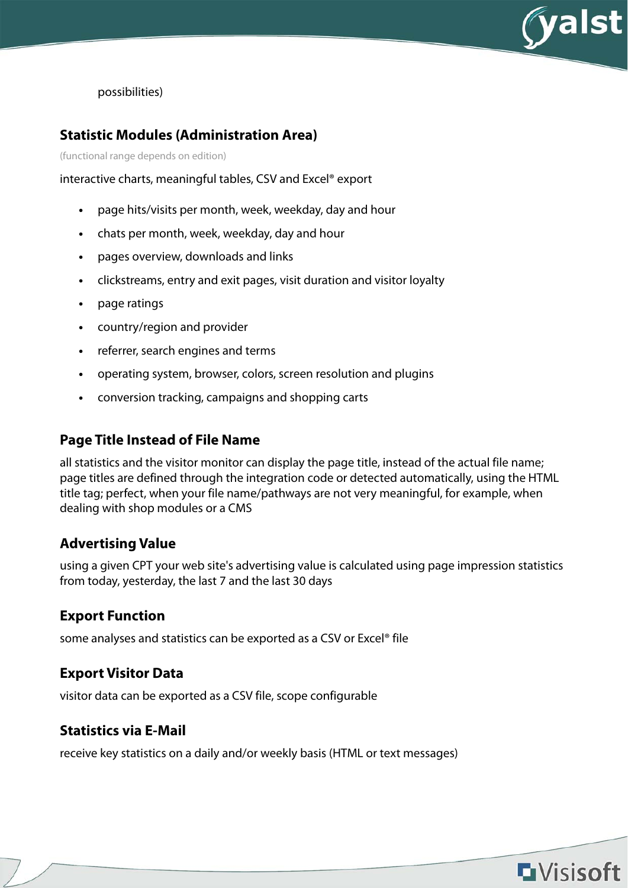

possibilities)

#### **Statistic Modules (Administration Area)**

(functional range depends on edition)

interactive charts, meaningful tables, CSV and Excel® export

- **•** page hits/visits per month, week, weekday, day and hour
- **•** chats per month, week, weekday, day and hour
- **•** pages overview, downloads and links
- **•** clickstreams, entry and exit pages, visit duration and visitor loyalty
- **•** page ratings
- **•** country/region and provider
- **•** referrer, search engines and terms
- **•** operating system, browser, colors, screen resolution and plugins
- **•** conversion tracking, campaigns and shopping carts

#### **Page Title Instead of File Name**

all statistics and the visitor monitor can display the page title, instead of the actual file name; page titles are defined through the integration code or detected automatically, using the HTML title tag; perfect, when your file name/pathways are not very meaningful, for example, when dealing with shop modules or a CMS

#### **Advertising Value**

using a given CPT your web site's advertising value is calculated using page impression statistics from today, yesterday, the last 7 and the last 30 days

#### **Export Function**

some analyses and statistics can be exported as a CSV or Excel® file

#### **Export Visitor Data**

visitor data can be exported as a CSV file, scope configurable

#### **Statistics via E-Mail**

receive key statistics on a daily and/or weekly basis (HTML or text messages)

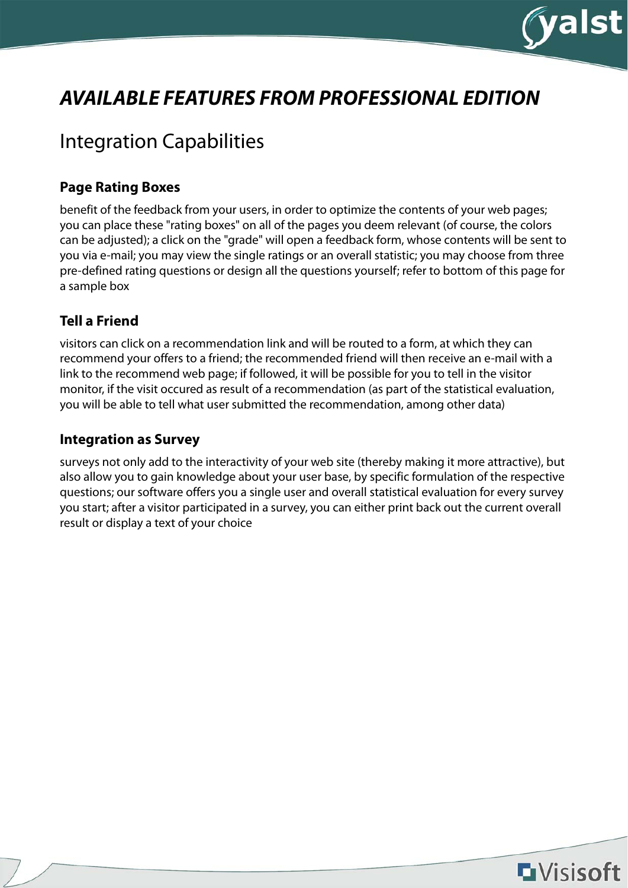

# **AVAILABLE FEATURES FROM PROFESSIONAL EDITION**

## Integration Capabilities

#### **Page Rating Boxes**

benefit of the feedback from your users, in order to optimize the contents of your web pages; you can place these "rating boxes" on all of the pages you deem relevant (of course, the colors can be adjusted); a click on the "grade" will open a feedback form, whose contents will be sent to you via e-mail; you may view the single ratings or an overall statistic; you may choose from three pre-defined rating questions or design all the questions yourself; refer to bottom of this page for a sample box

#### **Tell a Friend**

visitors can click on a recommendation link and will be routed to a form, at which they can recommend your offers to a friend; the recommended friend will then receive an e-mail with a link to the recommend web page; if followed, it will be possible for you to tell in the visitor monitor, if the visit occured as result of a recommendation (as part of the statistical evaluation, you will be able to tell what user submitted the recommendation, among other data)

#### **Integration as Survey**

surveys not only add to the interactivity of your web site (thereby making it more attractive), but also allow you to gain knowledge about your user base, by specific formulation of the respective questions; our software offers you a single user and overall statistical evaluation for every survey you start; after a visitor participated in a survey, you can either print back out the current overall result or display a text of your choice

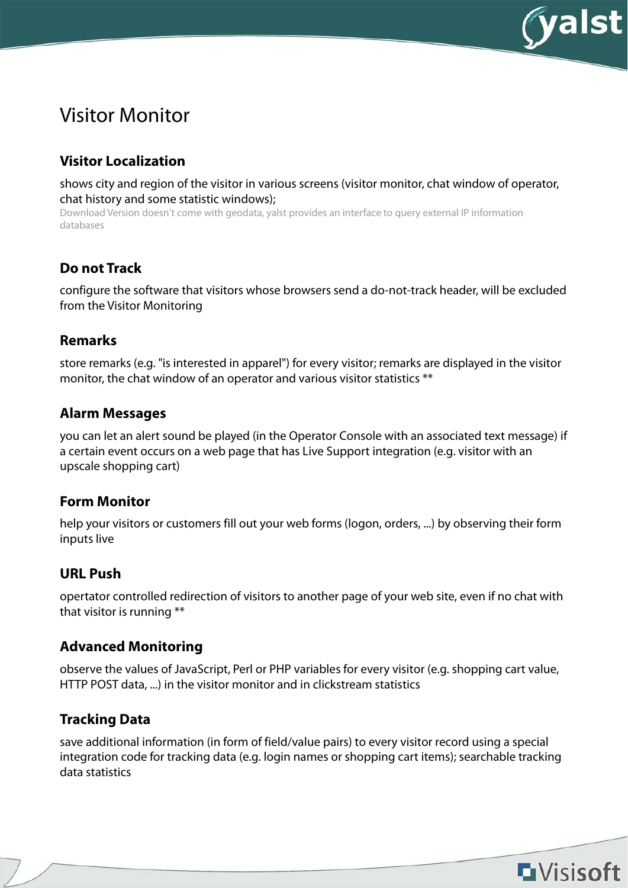

## Visitor Monitor

### **Visitor Localization**

shows city and region of the visitor in various screens (visitor monitor, chat window of operator, chat history and some statistic windows);

Download Version doesn't come with geodata, yalst provides an interface to query external IP information databases

#### **Do not Track**

configure the software that visitors whose browsers send a do-not-track header, will be excluded from the Visitor Monitoring

#### **Remarks**

store remarks (e.g. "is interested in apparel") for every visitor; remarks are displayed in the visitor monitor, the chat window of an operator and various visitor statistics \*\*

#### **Alarm Messages**

you can let an alert sound be played (in the Operator Console with an associated text message) if a certain event occurs on a web page that has Live Support integration (e.g. visitor with an upscale shopping cart)

#### **Form Monitor**

help your visitors or customers fill out your web forms (logon, orders, ...) by observing their form inputs live

### **URL Push**

opertator controlled redirection of visitors to another page of your web site, even if no chat with that visitor is running \*\*

#### **Advanced Monitoring**

observe the values of JavaScript, Perl or PHP variables for every visitor (e.g. shopping cart value, HTTP POST data, ...) in the visitor monitor and in clickstream statistics

### **Tracking Data**

save additional information (in form of field/value pairs) to every visitor record using a special integration code for tracking data (e.g. login names or shopping cart items); searchable tracking data statistics

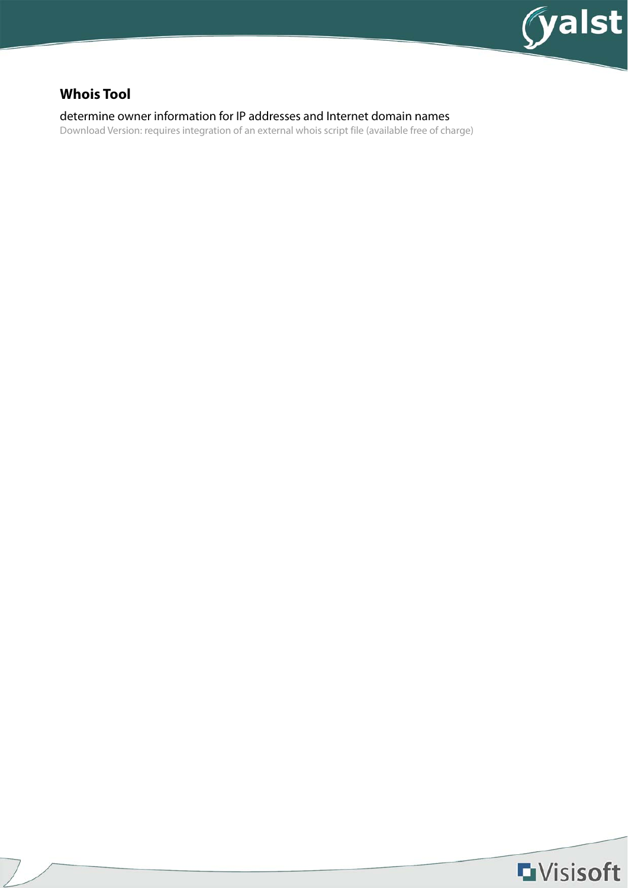

### **Whois Tool**

determine owner information for IP addresses and Internet domain names

Download Version: requires integration of an external whois script file (available free of charge)

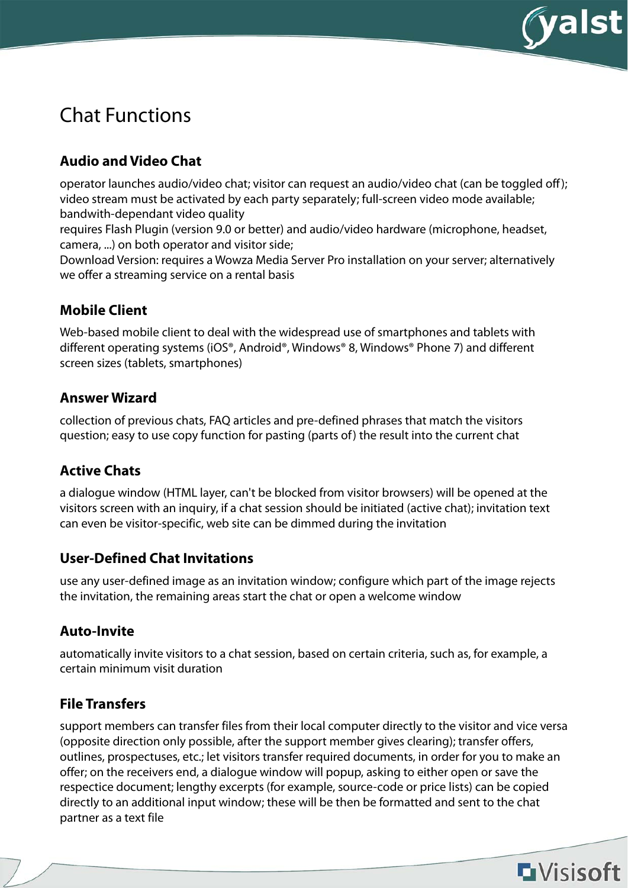

# Chat Functions

## **Audio and Video Chat**

operator launches audio/video chat; visitor can request an audio/video chat (can be toggled off); video stream must be activated by each party separately; full-screen video mode available; bandwith-dependant video quality

requires Flash Plugin (version 9.0 or better) and audio/video hardware (microphone, headset, camera, ...) on both operator and visitor side;

Download Version: requires a Wowza Media Server Pro installation on your server; alternatively we offer a streaming service on a rental basis

### **Mobile Client**

Web-based mobile client to deal with the widespread use of smartphones and tablets with different operating systems (iOS®, Android®, Windows® 8, Windows® Phone 7) and different screen sizes (tablets, smartphones)

#### **Answer Wizard**

collection of previous chats, FAQ articles and pre-defined phrases that match the visitors question; easy to use copy function for pasting (parts of) the result into the current chat

### **Active Chats**

a dialogue window (HTML layer, can't be blocked from visitor browsers) will be opened at the visitors screen with an inquiry, if a chat session should be initiated (active chat); invitation text can even be visitor-specific, web site can be dimmed during the invitation

### **User-Defined Chat Invitations**

use any user-defined image as an invitation window; configure which part of the image rejects the invitation, the remaining areas start the chat or open a welcome window

### **Auto-Invite**

automatically invite visitors to a chat session, based on certain criteria, such as, for example, a certain minimum visit duration

### **File Transfers**

support members can transfer files from their local computer directly to the visitor and vice versa (opposite direction only possible, after the support member gives clearing); transfer offers, outlines, prospectuses, etc.; let visitors transfer required documents, in order for you to make an offer; on the receivers end, a dialogue window will popup, asking to either open or save the respectice document; lengthy excerpts (for example, source-code or price lists) can be copied directly to an additional input window; these will be then be formatted and sent to the chat partner as a text file

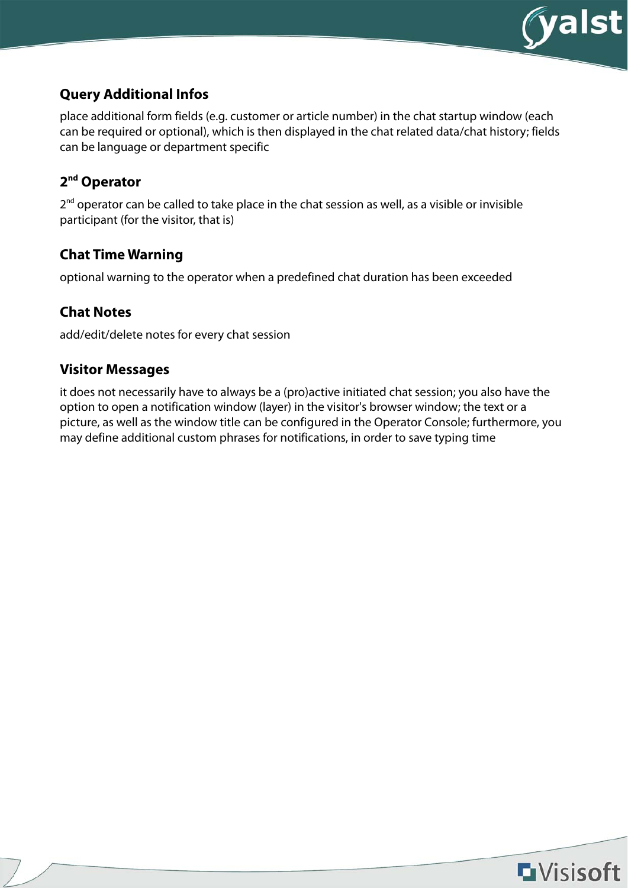

### **Query Additional Infos**

place additional form fields (e.g. customer or article number) in the chat startup window (each can be required or optional), which is then displayed in the chat related data/chat history; fields can be language or department specific

### **2nd Operator**

2<sup>nd</sup> operator can be called to take place in the chat session as well, as a visible or invisible participant (for the visitor, that is)

### **Chat Time Warning**

optional warning to the operator when a predefined chat duration has been exceeded

### **Chat Notes**

add/edit/delete notes for every chat session

### **Visitor Messages**

it does not necessarily have to always be a (pro)active initiated chat session; you also have the option to open a notification window (layer) in the visitor's browser window; the text or a picture, as well as the window title can be configured in the Operator Console; furthermore, you may define additional custom phrases for notifications, in order to save typing time

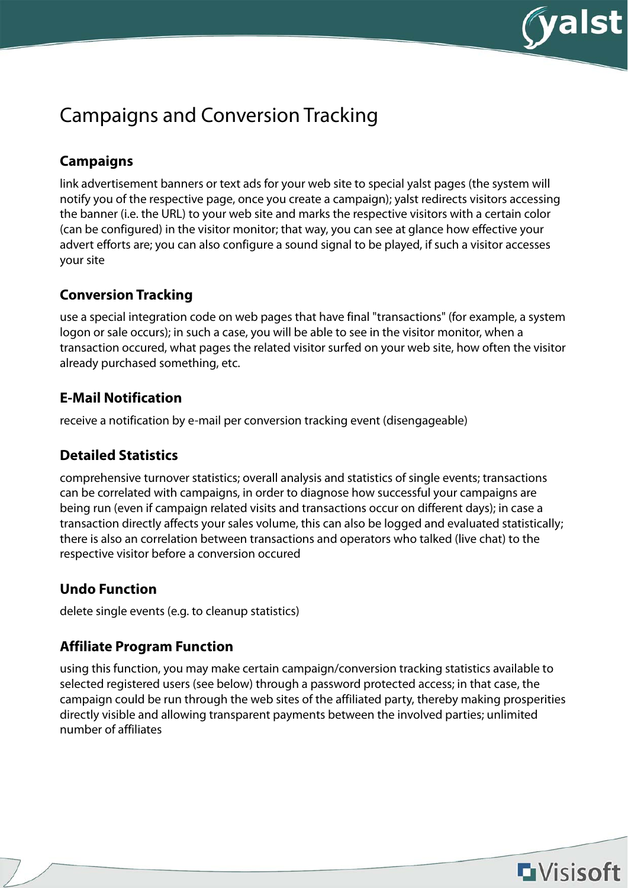

# Campaigns and Conversion Tracking

## **Campaigns**

link advertisement banners or text ads for your web site to special yalst pages (the system will notify you of the respective page, once you create a campaign); yalst redirects visitors accessing the banner (i.e. the URL) to your web site and marks the respective visitors with a certain color (can be configured) in the visitor monitor; that way, you can see at glance how effective your advert efforts are; you can also configure a sound signal to be played, if such a visitor accesses your site

### **Conversion Tracking**

use a special integration code on web pages that have final "transactions" (for example, a system logon or sale occurs); in such a case, you will be able to see in the visitor monitor, when a transaction occured, what pages the related visitor surfed on your web site, how often the visitor already purchased something, etc.

### **E-Mail Notification**

receive a notification by e-mail per conversion tracking event (disengageable)

### **Detailed Statistics**

comprehensive turnover statistics; overall analysis and statistics of single events; transactions can be correlated with campaigns, in order to diagnose how successful your campaigns are being run (even if campaign related visits and transactions occur on different days); in case a transaction directly affects your sales volume, this can also be logged and evaluated statistically; there is also an correlation between transactions and operators who talked (live chat) to the respective visitor before a conversion occured

### **Undo Function**

delete single events (e.g. to cleanup statistics)

### **Affiliate Program Function**

using this function, you may make certain campaign/conversion tracking statistics available to selected registered users (see below) through a password protected access; in that case, the campaign could be run through the web sites of the affiliated party, thereby making prosperities directly visible and allowing transparent payments between the involved parties; unlimited number of affiliates

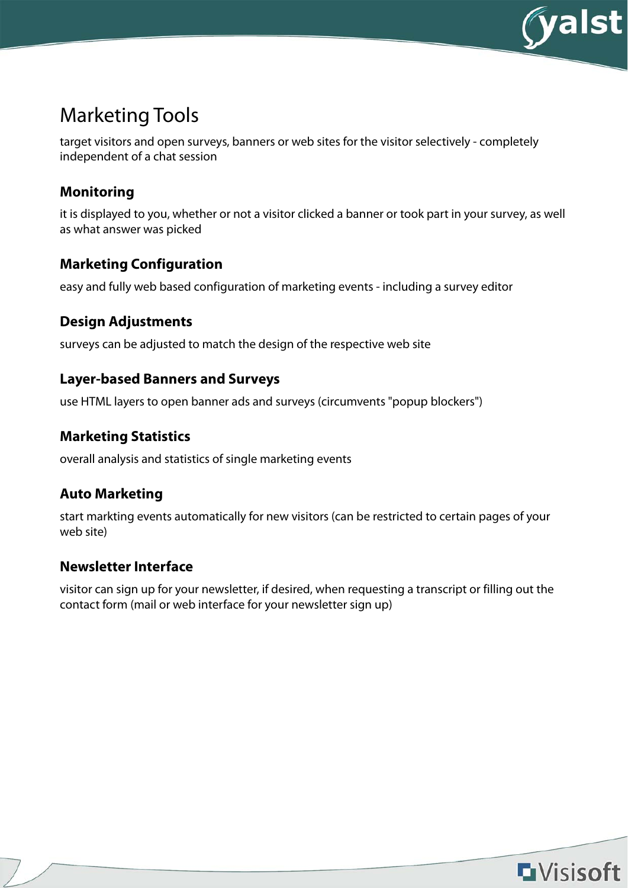

## Marketing Tools

target visitors and open surveys, banners or web sites for the visitor selectively - completely independent of a chat session

#### **Monitoring**

it is displayed to you, whether or not a visitor clicked a banner or took part in your survey, as well as what answer was picked

#### **Marketing Configuration**

easy and fully web based configuration of marketing events - including a survey editor

#### **Design Adjustments**

surveys can be adjusted to match the design of the respective web site

#### **Layer-based Banners and Surveys**

use HTML layers to open banner ads and surveys (circumvents "popup blockers")

#### **Marketing Statistics**

overall analysis and statistics of single marketing events

### **Auto Marketing**

start markting events automatically for new visitors (can be restricted to certain pages of your web site)

#### **Newsletter Interface**

visitor can sign up for your newsletter, if desired, when requesting a transcript or filling out the contact form (mail or web interface for your newsletter sign up)

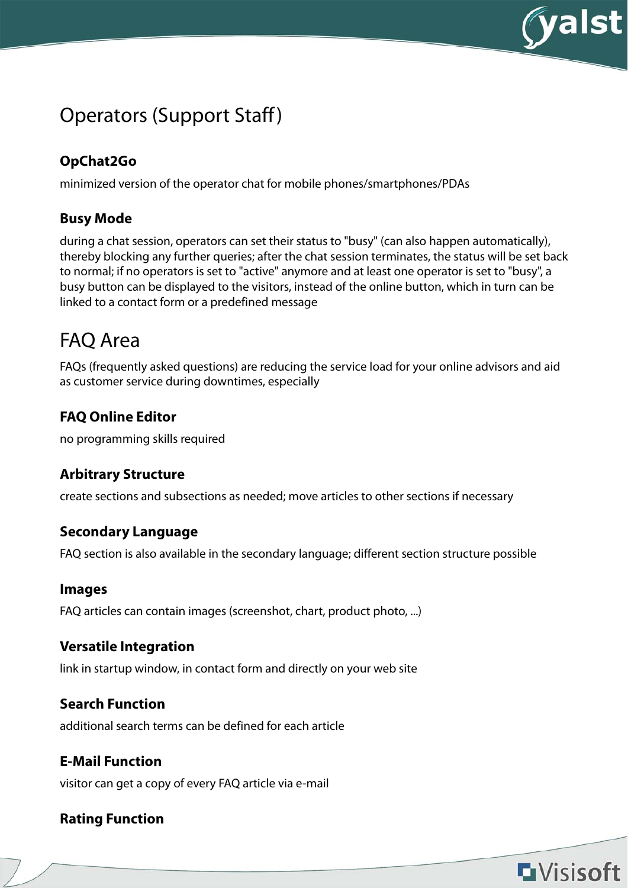

**L**Visisoft

## Operators (Support Staff)

## **OpChat2Go**

minimized version of the operator chat for mobile phones/smartphones/PDAs

### **Busy Mode**

during a chat session, operators can set their status to "busy" (can also happen automatically), thereby blocking any further queries; after the chat session terminates, the status will be set back to normal; if no operators is set to "active" anymore and at least one operator is set to "busy", a busy button can be displayed to the visitors, instead of the online button, which in turn can be linked to a contact form or a predefined message

## FAQ Area

FAQs (frequently asked questions) are reducing the service load for your online advisors and aid as customer service during downtimes, especially

### **FAQ Online Editor**

no programming skills required

### **Arbitrary Structure**

create sections and subsections as needed; move articles to other sections if necessary

#### **Secondary Language**

FAQ section is also available in the secondary language; different section structure possible

#### **Images**

FAQ articles can contain images (screenshot, chart, product photo, ...)

#### **Versatile Integration**

link in startup window, in contact form and directly on your web site

#### **Search Function**

additional search terms can be defined for each article

#### **E-Mail Function**

visitor can get a copy of every FAQ article via e-mail

### **Rating Function**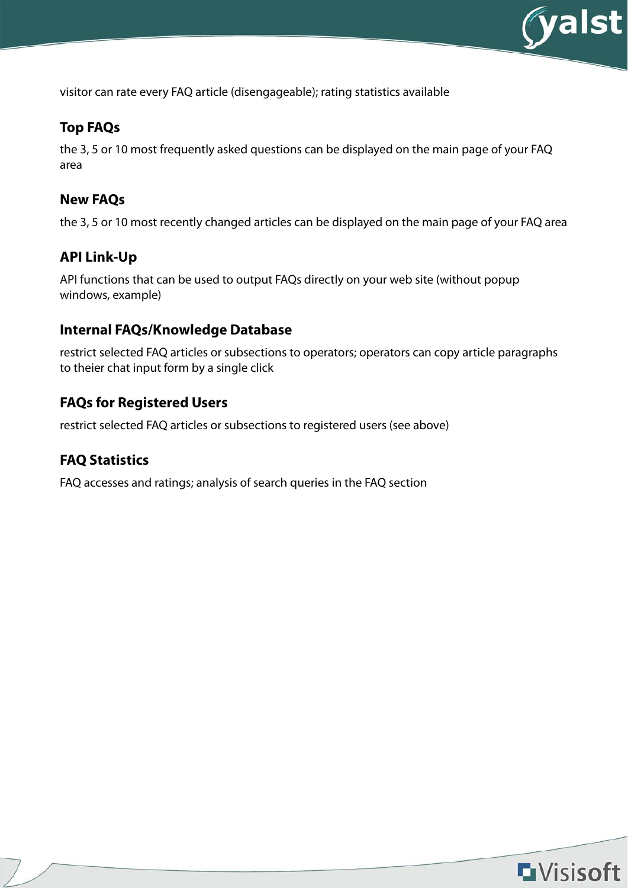

visitor can rate every FAQ article (disengageable); rating statistics available

#### **Top FAQs**

the 3, 5 or 10 most frequently asked questions can be displayed on the main page of your FAQ area

#### **New FAQs**

the 3, 5 or 10 most recently changed articles can be displayed on the main page of your FAQ area

### **API Link-Up**

API functions that can be used to output FAQs directly on your web site (without popup windows, example)

#### **Internal FAQs/Knowledge Database**

restrict selected FAQ articles or subsections to operators; operators can copy article paragraphs to theier chat input form by a single click

#### **FAQs for Registered Users**

restrict selected FAQ articles or subsections to registered users (see above)

### **FAQ Statistics**

FAQ accesses and ratings; analysis of search queries in the FAQ section

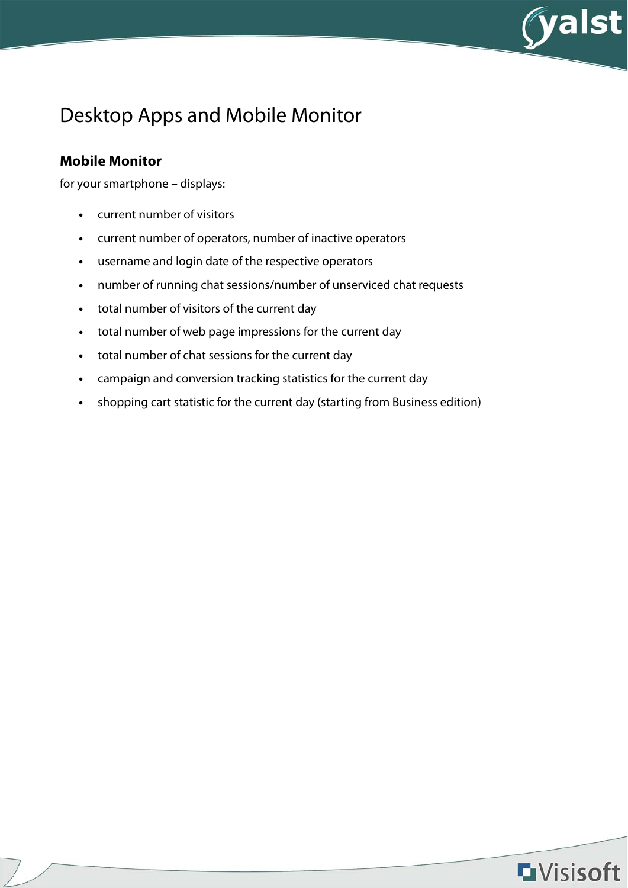

## Desktop Apps and Mobile Monitor

#### **Mobile Monitor**

for your smartphone – displays:

- **•** current number of visitors
- **•** current number of operators, number of inactive operators
- **•** username and login date of the respective operators
- **•** number of running chat sessions/number of unserviced chat requests
- **•** total number of visitors of the current day
- **•** total number of web page impressions for the current day
- **•** total number of chat sessions for the current day
- **•** campaign and conversion tracking statistics for the current day
- **•** shopping cart statistic for the current day (starting from Business edition)

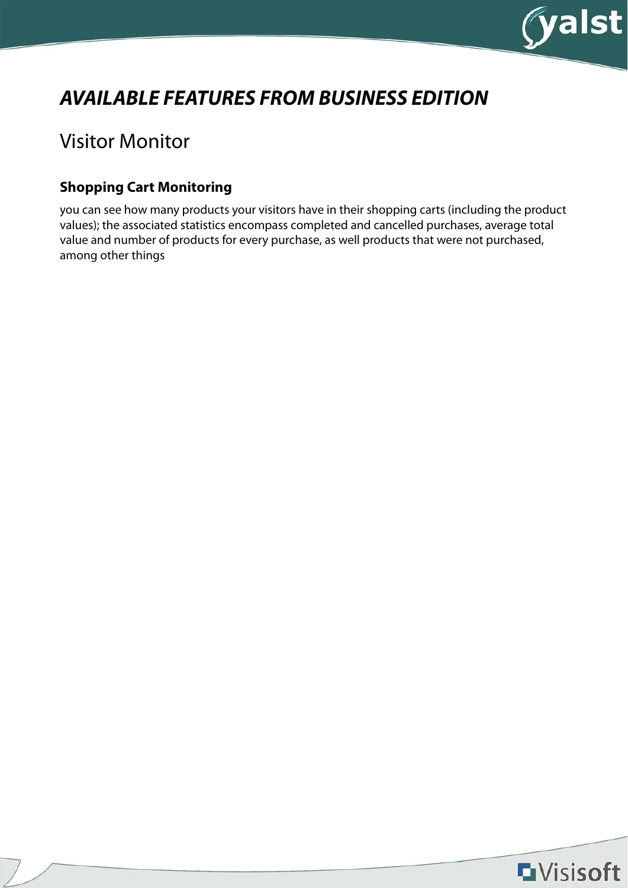

# **AVAILABLE FEATURES FROM BUSINESS EDITION**

## Visitor Monitor

### **Shopping Cart Monitoring**

you can see how many products your visitors have in their shopping carts (including the product values); the associated statistics encompass completed and cancelled purchases, average total value and number of products for every purchase, as well products that were not purchased, among other things

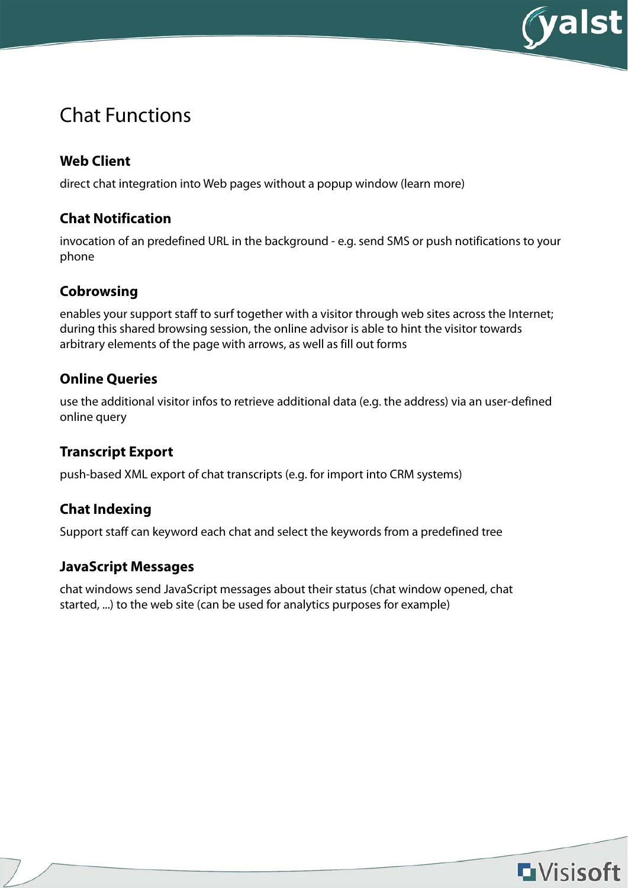

## Chat Functions

## **Web Client**

direct chat integration into Web pages without a popup window (learn more)

#### **Chat Notification**

invocation of an predefined URL in the background - e.g. send SMS or push notifications to your phone

### **Cobrowsing**

enables your support staff to surf together with a visitor through web sites across the Internet; during this shared browsing session, the online advisor is able to hint the visitor towards arbitrary elements of the page with arrows, as well as fill out forms

### **Online Queries**

use the additional visitor infos to retrieve additional data (e.g. the address) via an user-defined online query

### **Transcript Export**

push-based XML export of chat transcripts (e.g. for import into CRM systems)

### **Chat Indexing**

Support staff can keyword each chat and select the keywords from a predefined tree

### **JavaScript Messages**

chat windows send JavaScript messages about their status (chat window opened, chat started, ...) to the web site (can be used for analytics purposes for example)

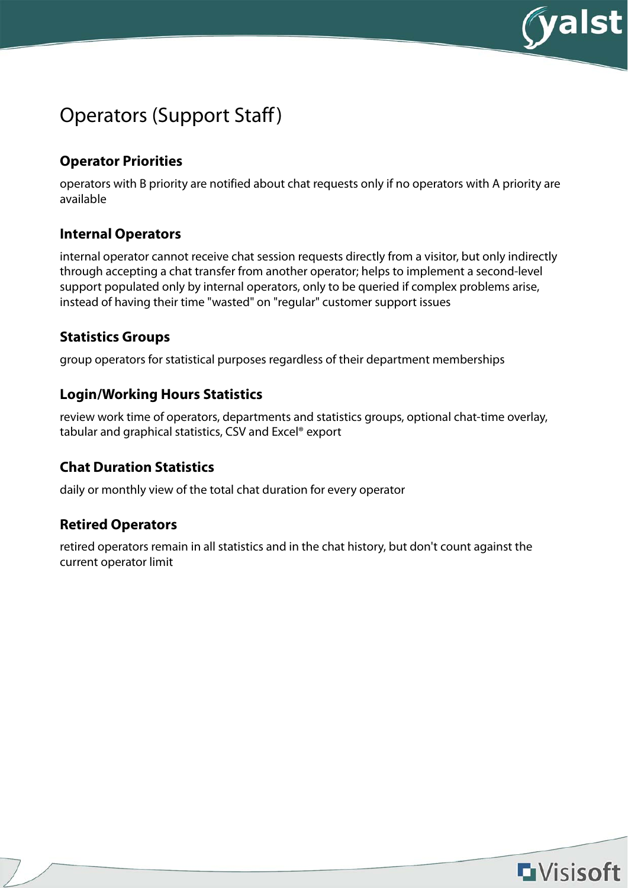

## Operators (Support Staff)

### **Operator Priorities**

operators with B priority are notified about chat requests only if no operators with A priority are available

#### **Internal Operators**

internal operator cannot receive chat session requests directly from a visitor, but only indirectly through accepting a chat transfer from another operator; helps to implement a second-level support populated only by internal operators, only to be queried if complex problems arise, instead of having their time "wasted" on "regular" customer support issues

#### **Statistics Groups**

group operators for statistical purposes regardless of their department memberships

#### **Login/Working Hours Statistics**

review work time of operators, departments and statistics groups, optional chat-time overlay, tabular and graphical statistics, CSV and Excel® export

### **Chat Duration Statistics**

daily or monthly view of the total chat duration for every operator

#### **Retired Operators**

retired operators remain in all statistics and in the chat history, but don't count against the current operator limit

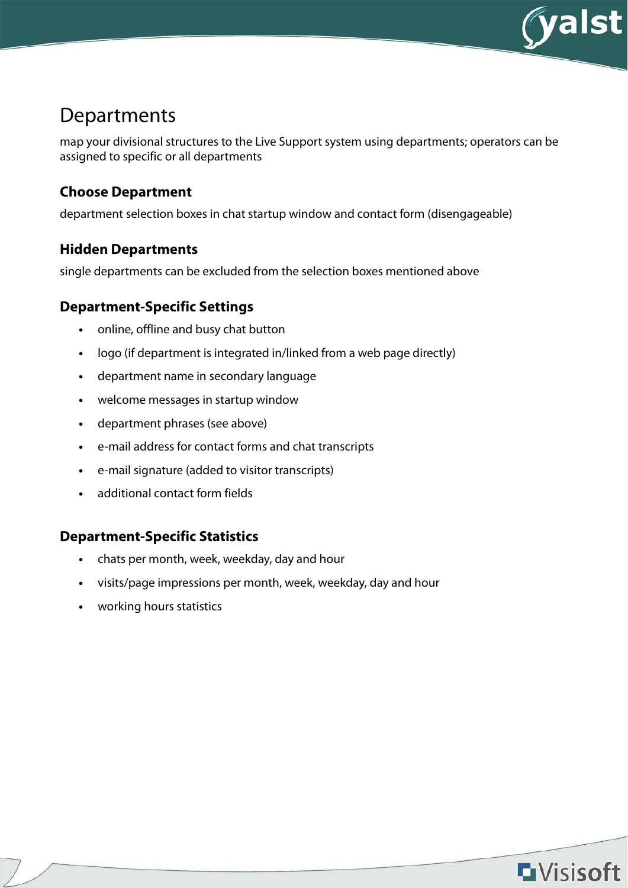

## Departments

map your divisional structures to the Live Support system using departments; operators can be assigned to specific or all departments

#### **Choose Department**

department selection boxes in chat startup window and contact form (disengageable)

#### **Hidden Departments**

single departments can be excluded from the selection boxes mentioned above

#### **Department-Specific Settings**

- **•** online, offline and busy chat button
- **•** logo (if department is integrated in/linked from a web page directly)
- **•** department name in secondary language
- **•** welcome messages in startup window
- **•** department phrases (see above)
- **•** e-mail address for contact forms and chat transcripts
- **•** e-mail signature (added to visitor transcripts)
- **•** additional contact form fields

#### **Department-Specific Statistics**

- **•** chats per month, week, weekday, day and hour
- **•** visits/page impressions per month, week, weekday, day and hour
- **•** working hours statistics

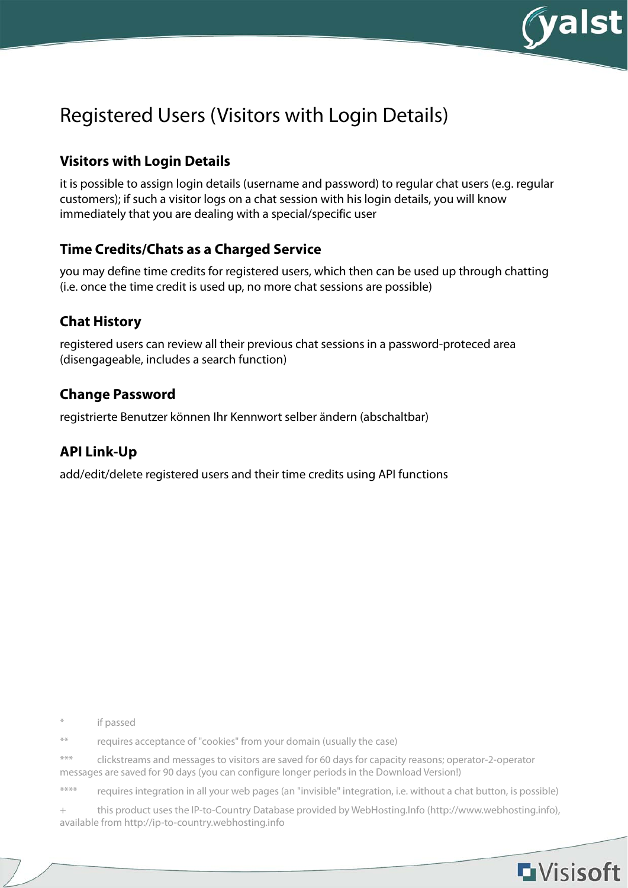

**L**Visisoft

# Registered Users (Visitors with Login Details)

### **Visitors with Login Details**

it is possible to assign login details (username and password) to regular chat users (e.g. regular customers); if such a visitor logs on a chat session with his login details, you will know immediately that you are dealing with a special/specific user

#### **Time Credits/Chats as a Charged Service**

you may define time credits for registered users, which then can be used up through chatting (i.e. once the time credit is used up, no more chat sessions are possible)

#### **Chat History**

registered users can review all their previous chat sessions in a password-proteced area (disengageable, includes a search function)

#### **Change Password**

registrierte Benutzer können Ihr Kennwort selber ändern (abschaltbar)

#### **API Link-Up**

add/edit/delete registered users and their time credits using API functions

\* if passed

\*\* requires acceptance of "cookies" from your domain (usually the case)

\*\*\* clickstreams and messages to visitors are saved for 60 days for capacity reasons; operator-2-operator messages are saved for 90 days (you can configure longer periods in the Download Version!)

\*\*\*\* requires integration in all your web pages (an "invisible" integration, i.e. without a chat button, is possible)

+ this product uses the IP-to-Country Database provided by WebHosting.Info (http://www.webhosting.info), available from http://ip-to-country.webhosting.info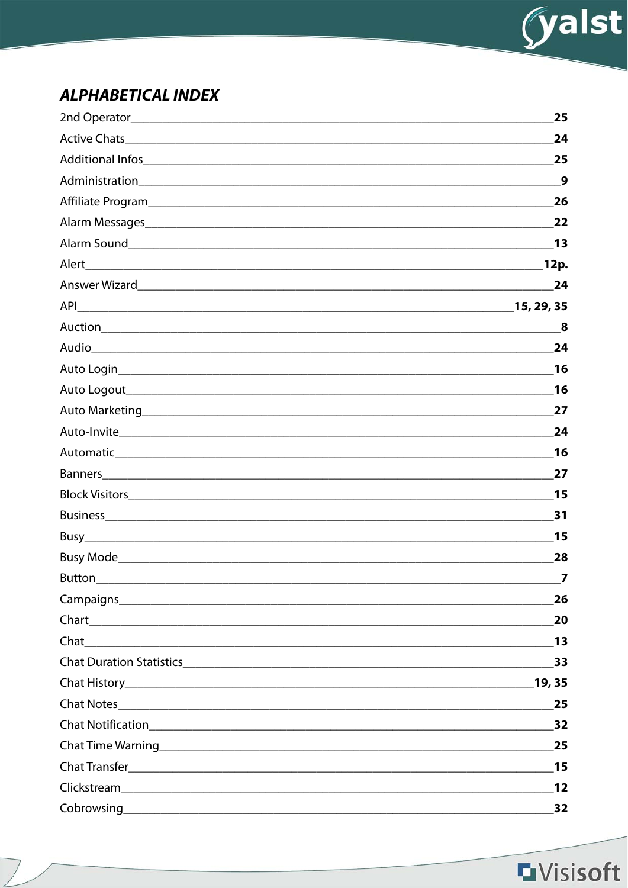

## **ALPHABETICAL INDEX**

|                                                                                                                                                                                                                                      | 25    |
|--------------------------------------------------------------------------------------------------------------------------------------------------------------------------------------------------------------------------------------|-------|
|                                                                                                                                                                                                                                      | 24    |
|                                                                                                                                                                                                                                      | 25    |
|                                                                                                                                                                                                                                      | 9     |
|                                                                                                                                                                                                                                      | 26    |
| Alarm Messages experience and the contract of the contract of the contract of the contract of the contract of                                                                                                                        | 22    |
|                                                                                                                                                                                                                                      | - 13  |
| Alert<br><u> 2000 - 2000 - 2000 - 2000 - 2000 - 2000 - 2000 - 2000 - 2000 - 2000 - 2000 - 2000 - 2000 - 2000 - 2000 - 20</u>                                                                                                         | 12p.  |
|                                                                                                                                                                                                                                      | 24    |
|                                                                                                                                                                                                                                      |       |
|                                                                                                                                                                                                                                      | 8     |
|                                                                                                                                                                                                                                      | 24    |
|                                                                                                                                                                                                                                      | 16    |
|                                                                                                                                                                                                                                      | 16    |
| Auto Marketing <b>Executive Contract Contract Contract Contract Contract Contract Contract Contract Contract Contract Contract Contract Contract Contract Contract Contract Contract Contract Contract Contract Contract Contrac</b> | 27    |
|                                                                                                                                                                                                                                      | 24    |
|                                                                                                                                                                                                                                      | 16    |
|                                                                                                                                                                                                                                      | 27    |
|                                                                                                                                                                                                                                      | 15    |
|                                                                                                                                                                                                                                      | 31    |
|                                                                                                                                                                                                                                      | 15    |
|                                                                                                                                                                                                                                      | 28    |
| <b>Button</b>                                                                                                                                                                                                                        | 7     |
|                                                                                                                                                                                                                                      | 26    |
|                                                                                                                                                                                                                                      | 20    |
|                                                                                                                                                                                                                                      | 13    |
|                                                                                                                                                                                                                                      | 33    |
|                                                                                                                                                                                                                                      | 19,35 |
|                                                                                                                                                                                                                                      | 25    |
|                                                                                                                                                                                                                                      | 32    |
| Chat Time Warning <u>Chat Time Warning</u>                                                                                                                                                                                           | 25    |
|                                                                                                                                                                                                                                      | 15    |
|                                                                                                                                                                                                                                      | 12    |
|                                                                                                                                                                                                                                      | 32    |

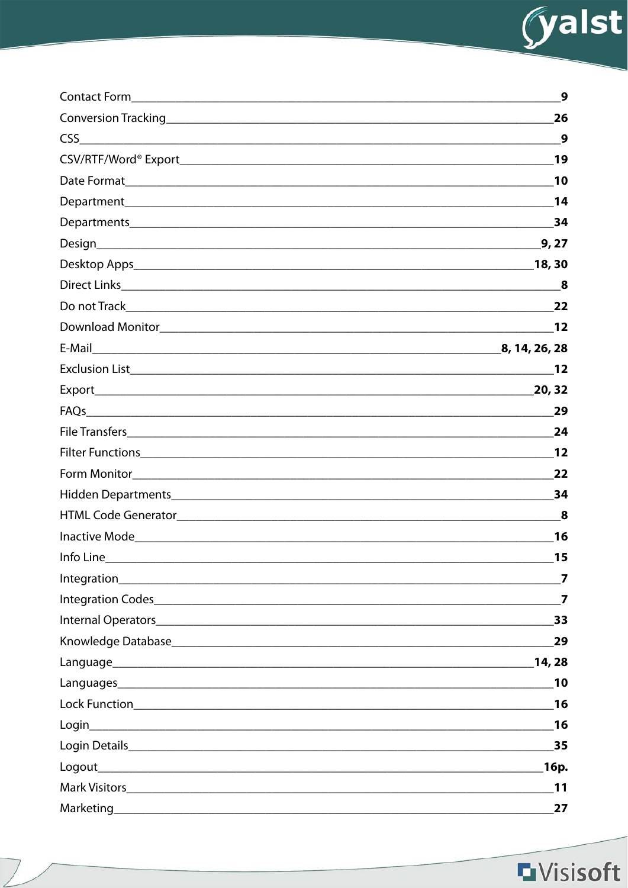

| Contact Form                                                                                                                                                                                                                  | 9                       |
|-------------------------------------------------------------------------------------------------------------------------------------------------------------------------------------------------------------------------------|-------------------------|
| Conversion Tracking <b>Executive Conversion Tracking</b>                                                                                                                                                                      | 26                      |
| CSS<br><u> 1989 - Johann Stoff, deutscher Stoffen und der Stoffen und der Stoffen und der Stoffen und der Stoffen und der</u>                                                                                                 | 9                       |
|                                                                                                                                                                                                                               | 19                      |
|                                                                                                                                                                                                                               | 10                      |
|                                                                                                                                                                                                                               | 14                      |
|                                                                                                                                                                                                                               | 34                      |
|                                                                                                                                                                                                                               | 9, 27                   |
|                                                                                                                                                                                                                               | 18, 30                  |
|                                                                                                                                                                                                                               | 8                       |
|                                                                                                                                                                                                                               | 22                      |
|                                                                                                                                                                                                                               |                         |
|                                                                                                                                                                                                                               |                         |
|                                                                                                                                                                                                                               | 12                      |
|                                                                                                                                                                                                                               | 20, 32                  |
| FAQs                                                                                                                                                                                                                          | 29                      |
|                                                                                                                                                                                                                               | 24                      |
|                                                                                                                                                                                                                               | 12                      |
|                                                                                                                                                                                                                               | 22                      |
|                                                                                                                                                                                                                               | 34                      |
|                                                                                                                                                                                                                               | 8                       |
|                                                                                                                                                                                                                               | 16                      |
| Info Line                                                                                                                                                                                                                     | 15                      |
|                                                                                                                                                                                                                               | 7                       |
| Integration Codes experience and the contract of the contract of the contract of the contract of the contract of the contract of the contract of the contract of the contract of the contract of the contract of the contract | $\overline{\mathbf{z}}$ |
|                                                                                                                                                                                                                               | 33                      |
|                                                                                                                                                                                                                               | 29                      |
|                                                                                                                                                                                                                               | 14,28                   |
|                                                                                                                                                                                                                               | 10                      |
|                                                                                                                                                                                                                               | 16                      |
|                                                                                                                                                                                                                               | 16                      |
|                                                                                                                                                                                                                               | 35                      |
|                                                                                                                                                                                                                               | 16p.                    |
|                                                                                                                                                                                                                               | 11                      |
|                                                                                                                                                                                                                               | 27                      |

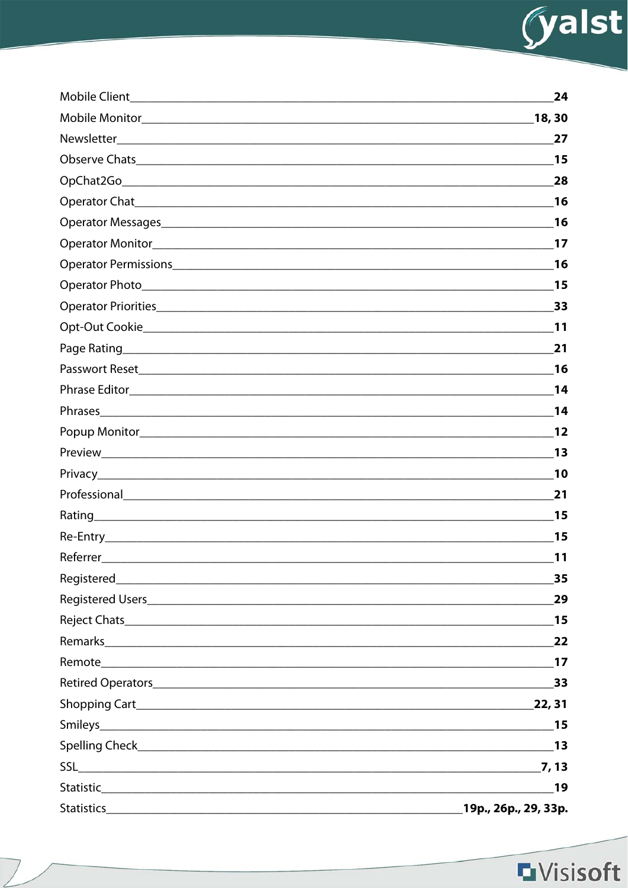

| <b>Mobile Client</b>                                                                                                                                                                                                           | 24                                                                                                                           |
|--------------------------------------------------------------------------------------------------------------------------------------------------------------------------------------------------------------------------------|------------------------------------------------------------------------------------------------------------------------------|
|                                                                                                                                                                                                                                | 18, 30                                                                                                                       |
|                                                                                                                                                                                                                                | 27                                                                                                                           |
|                                                                                                                                                                                                                                | 15                                                                                                                           |
|                                                                                                                                                                                                                                | 28                                                                                                                           |
|                                                                                                                                                                                                                                | 16                                                                                                                           |
|                                                                                                                                                                                                                                | 16                                                                                                                           |
|                                                                                                                                                                                                                                | 17                                                                                                                           |
|                                                                                                                                                                                                                                | 16                                                                                                                           |
|                                                                                                                                                                                                                                | 15                                                                                                                           |
|                                                                                                                                                                                                                                | 33                                                                                                                           |
|                                                                                                                                                                                                                                | 11                                                                                                                           |
|                                                                                                                                                                                                                                | 21                                                                                                                           |
|                                                                                                                                                                                                                                | 16                                                                                                                           |
|                                                                                                                                                                                                                                | 14                                                                                                                           |
|                                                                                                                                                                                                                                | 14                                                                                                                           |
|                                                                                                                                                                                                                                | 12                                                                                                                           |
|                                                                                                                                                                                                                                | 13                                                                                                                           |
|                                                                                                                                                                                                                                | 10                                                                                                                           |
|                                                                                                                                                                                                                                | 21                                                                                                                           |
|                                                                                                                                                                                                                                | 15                                                                                                                           |
|                                                                                                                                                                                                                                | 15                                                                                                                           |
| Referrer                                                                                                                                                                                                                       | 11                                                                                                                           |
| Registered_                                                                                                                                                                                                                    | 35<br><u> 1989 - Andrea Barbara, amerikana amerikana amerikana amerikana amerikana amerikana amerikana amerikana amerika</u> |
|                                                                                                                                                                                                                                | 29                                                                                                                           |
|                                                                                                                                                                                                                                | $\overline{\mathbf{15}}$                                                                                                     |
| Remarks Participates and the contract of the contract of the contract of the contract of the contract of the contract of the contract of the contract of the contract of the contract of the contract of the contract of the c | 22                                                                                                                           |
| Remote 17                                                                                                                                                                                                                      |                                                                                                                              |
|                                                                                                                                                                                                                                | 33                                                                                                                           |
|                                                                                                                                                                                                                                | 22, 31                                                                                                                       |
|                                                                                                                                                                                                                                | $\overline{\mathbf{15}}$                                                                                                     |
|                                                                                                                                                                                                                                | 13                                                                                                                           |
|                                                                                                                                                                                                                                | $\overline{7}$ , 13                                                                                                          |
|                                                                                                                                                                                                                                | 19                                                                                                                           |
| <b>Statistics</b><br><u> 1980 - Jan James James Jan James James James James James James James James James James James James James Jam</u>                                                                                      | 19p., 26p., 29, 33p.                                                                                                         |